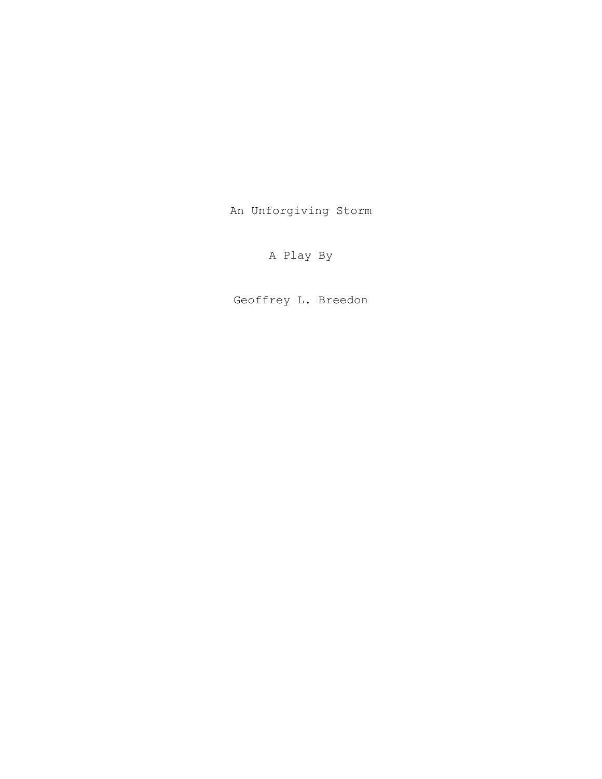An Unforgiving Storm

A Play By

Geoffrey L. Breedon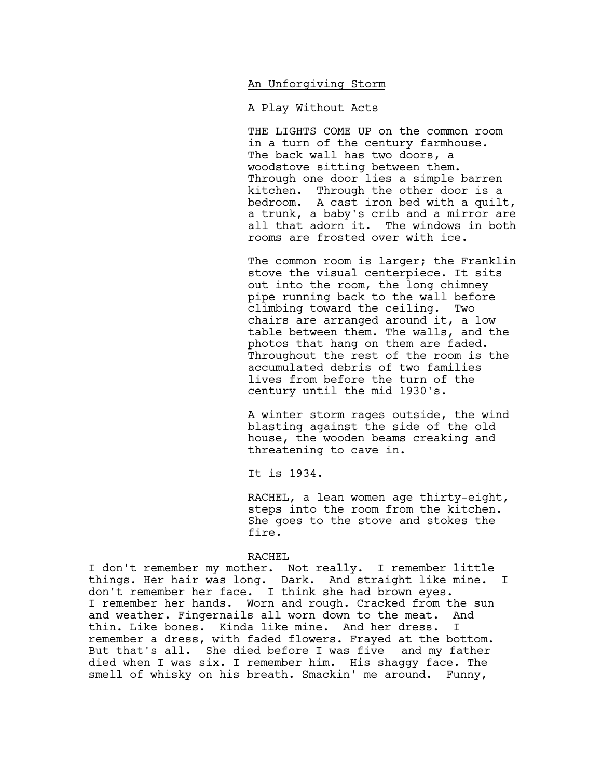# An Unforgiving Storm

A Play Without Acts

THE LIGHTS COME UP on the common room in a turn of the century farmhouse. The back wall has two doors, a woodstove sitting between them. Through one door lies a simple barren kitchen. Through the other door is a bedroom. A cast iron bed with a quilt, a trunk, a baby's crib and a mirror are all that adorn it. The windows in both rooms are frosted over with ice.

The common room is larger; the Franklin stove the visual centerpiece. It sits out into the room, the long chimney pipe running back to the wall before climbing toward the ceiling. Two chairs are arranged around it, a low table between them. The walls, and the photos that hang on them are faded. Throughout the rest of the room is the accumulated debris of two families lives from before the turn of the century until the mid 1930's.

A winter storm rages outside, the wind blasting against the side of the old house, the wooden beams creaking and threatening to cave in.

It is 1934.

RACHEL, a lean women age thirty-eight, steps into the room from the kitchen. She goes to the stove and stokes the fire.

### RACHEL

I don't remember my mother. Not really. I remember little things. Her hair was long. Dark. And straight like mine. I don't remember her face. I think she had brown eyes. I remember her hands. Worn and rough. Cracked from the sun and weather. Fingernails all worn down to the meat. And thin. Like bones. Kinda like mine. And her dress. I remember a dress, with faded flowers. Frayed at the bottom. But that's all. She died before I was five and my father died when I was six. I remember him. His shaggy face. The smell of whisky on his breath. Smackin' me around. Funny,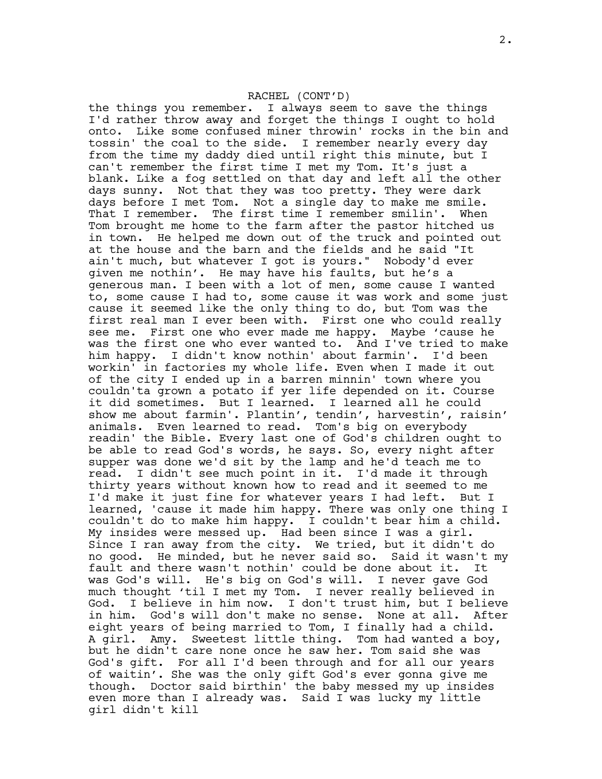RACHEL (CONT'D)

the things you remember. I always seem to save the things I'd rather throw away and forget the things I ought to hold onto. Like some confused miner throwin' rocks in the bin and tossin' the coal to the side. I remember nearly every day from the time my daddy died until right this minute, but I can't remember the first time I met my Tom. It's just a blank. Like a fog settled on that day and left all the other days sunny. Not that they was too pretty. They were dark days before I met Tom. Not a single day to make me smile. That I remember. The first time I remember smilin'. When Tom brought me home to the farm after the pastor hitched us in town. He helped me down out of the truck and pointed out at the house and the barn and the fields and he said "It ain't much, but whatever I got is yours." Nobody'd ever given me nothin'. He may have his faults, but he's a generous man. I been with a lot of men, some cause I wanted to, some cause I had to, some cause it was work and some just cause it seemed like the only thing to do, but Tom was the first real man I ever been with. First one who could really see me. First one who ever made me happy. Maybe 'cause he was the first one who ever wanted to. And I've tried to make him happy. I didn't know nothin' about farmin'. I'd been workin' in factories my whole life. Even when I made it out of the city I ended up in a barren minnin' town where you couldn'ta grown a potato if yer life depended on it. Course it did sometimes. But I learned. I learned all he could show me about farmin'. Plantin', tendin', harvestin', raisin' animals. Even learned to read. Tom's big on everybody readin' the Bible. Every last one of God's children ought to be able to read God's words, he says. So, every night after supper was done we'd sit by the lamp and he'd teach me to read. I didn't see much point in it. I'd made it through thirty years without known how to read and it seemed to me I'd make it just fine for whatever years I had left. But I learned, 'cause it made him happy. There was only one thing I couldn't do to make him happy. I couldn't bear him a child. My insides were messed up. Had been since I was a girl. Since I ran away from the city. We tried, but it didn't do no good. He minded, but he never said so. Said it wasn't my fault and there wasn't nothin' could be done about it. It was God's will. He's big on God's will. I never gave God much thought 'til I met my Tom. I never really believed in God. I believe in him now. I don't trust him, but I believe in him. God's will don't make no sense. None at all. After eight years of being married to Tom, I finally had a child. A girl. Amy. Sweetest little thing. Tom had wanted a boy, but he didn't care none once he saw her. Tom said she was God's gift. For all I'd been through and for all our years of waitin'. She was the only gift God's ever gonna give me though. Doctor said birthin' the baby messed my up insides even more than I already was. Said I was lucky my little girl didn't kill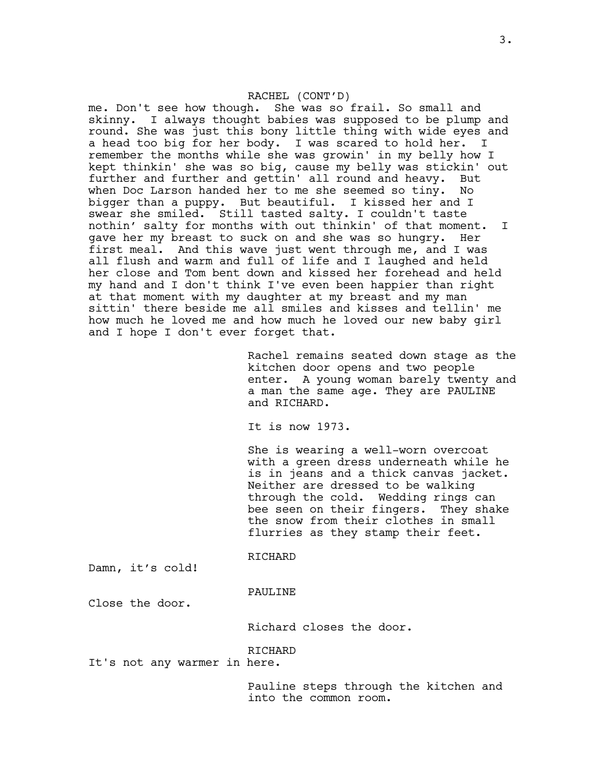## RACHEL (CONT'D)

me. Don't see how though. She was so frail. So small and skinny. I always thought babies was supposed to be plump and round. She was just this bony little thing with wide eyes and a head too big for her body. I was scared to hold her. I remember the months while she was growin' in my belly how I kept thinkin' she was so big, cause my belly was stickin' out further and further and gettin' all round and heavy. But when Doc Larson handed her to me she seemed so tiny. No bigger than a puppy. But beautiful. I kissed her and I swear she smiled. Still tasted salty. I couldn't taste nothin' salty for months with out thinkin' of that moment. I gave her my breast to suck on and she was so hungry. Her first meal. And this wave just went through me, and I was all flush and warm and full of life and I laughed and held her close and Tom bent down and kissed her forehead and held my hand and I don't think I've even been happier than right at that moment with my daughter at my breast and my man sittin' there beside me all smiles and kisses and tellin' me how much he loved me and how much he loved our new baby girl and I hope I don't ever forget that.

> Rachel remains seated down stage as the kitchen door opens and two people enter. A young woman barely twenty and a man the same age. They are PAULINE and RICHARD.

It is now 1973.

She is wearing a well-worn overcoat with a green dress underneath while he is in jeans and a thick canvas jacket. Neither are dressed to be walking through the cold. Wedding rings can bee seen on their fingers. They shake the snow from their clothes in small flurries as they stamp their feet.

Damn, it's cold!

PAULINE

RICHARD

Close the door.

Richard closes the door.

RICHARD

It's not any warmer in here.

Pauline steps through the kitchen and into the common room.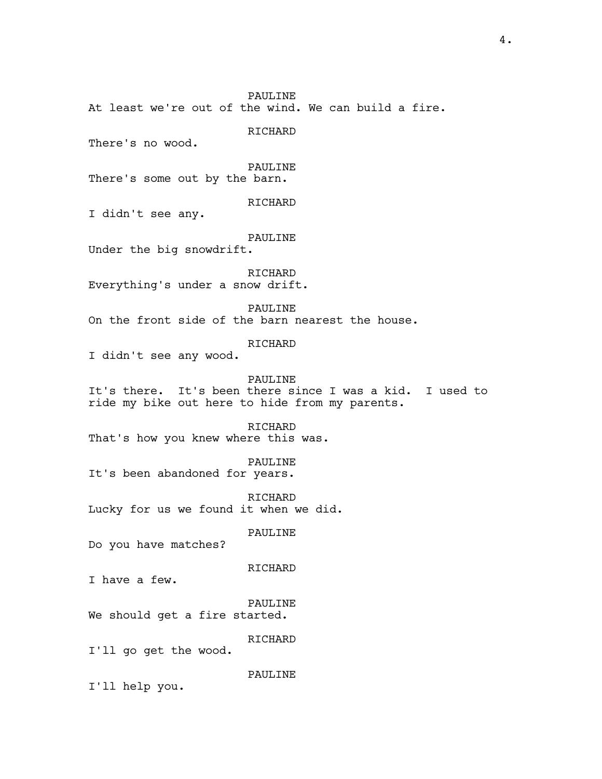PAULINE At least we're out of the wind. We can build a fire. RICHARD There's no wood. PAULINE There's some out by the barn. RICHARD I didn't see any. PAULINE Under the big snowdrift. **RICHARD** Everything's under a snow drift. PAULINE On the front side of the barn nearest the house. RICHARD I didn't see any wood. PAULINE It's there. It's been there since I was a kid. I used to ride my bike out here to hide from my parents. RICHARD That's how you knew where this was. PAULINE It's been abandoned for years. RICHARD Lucky for us we found it when we did. PAULINE Do you have matches? RICHARD I have a few. PAULINE We should get a fire started. RICHARD I'll go get the wood. PAULINE I'll help you.

4.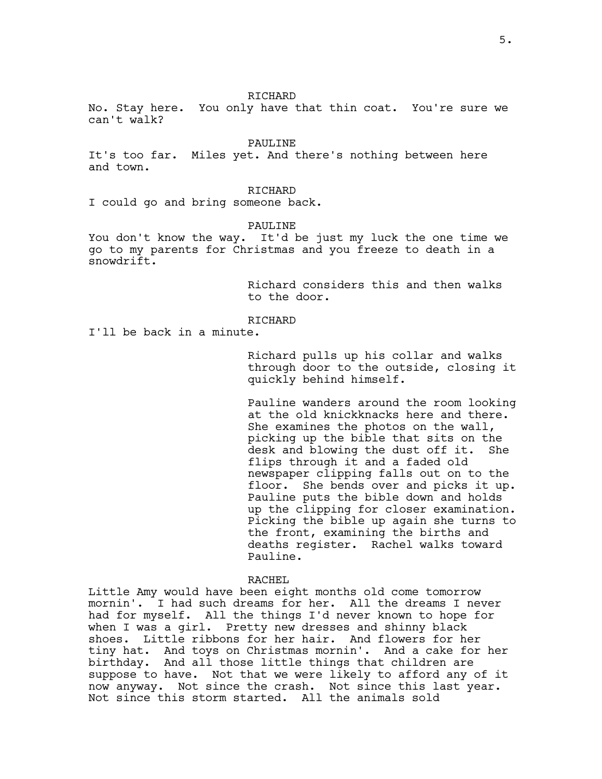No. Stay here. You only have that thin coat. You're sure we can't walk?

PAULINE

It's too far. Miles yet. And there's nothing between here and town.

### **RICHARD**

I could go and bring someone back.

PAULINE

You don't know the way. It'd be just my luck the one time we go to my parents for Christmas and you freeze to death in a snowdrift.

> Richard considers this and then walks to the door.

# RICHARD

I'll be back in a minute.

Richard pulls up his collar and walks through door to the outside, closing it quickly behind himself.

Pauline wanders around the room looking at the old knickknacks here and there. She examines the photos on the wall, picking up the bible that sits on the desk and blowing the dust off it. She flips through it and a faded old newspaper clipping falls out on to the floor. She bends over and picks it up. Pauline puts the bible down and holds up the clipping for closer examination. Picking the bible up again she turns to the front, examining the births and deaths register. Rachel walks toward Pauline.

RACHEL

Little Amy would have been eight months old come tomorrow mornin'. I had such dreams for her. All the dreams I never had for myself. All the things I'd never known to hope for when I was a girl. Pretty new dresses and shinny black shoes. Little ribbons for her hair. And flowers for her tiny hat. And toys on Christmas mornin'. And a cake for her birthday. And all those little things that children are suppose to have. Not that we were likely to afford any of it now anyway. Not since the crash. Not since this last year. Not since this storm started. All the animals sold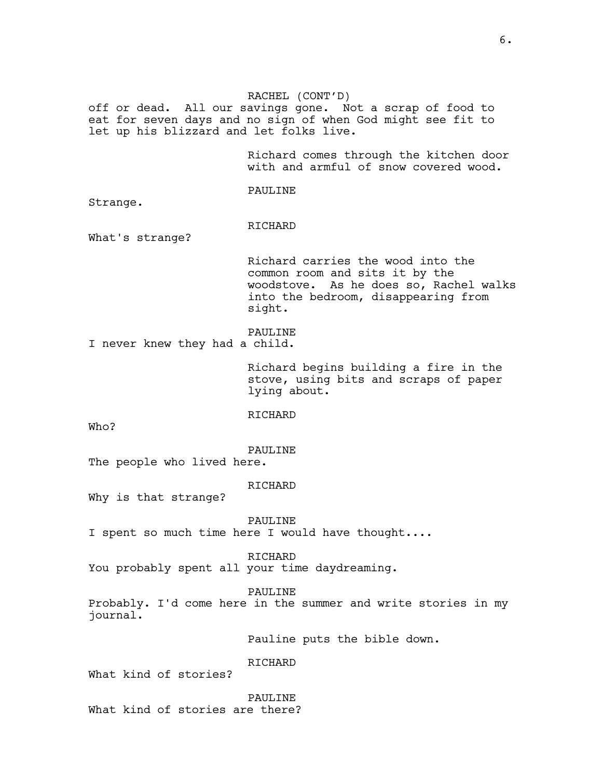RACHEL (CONT'D)

off or dead. All our savings gone. Not a scrap of food to eat for seven days and no sign of when God might see fit to let up his blizzard and let folks live.

> Richard comes through the kitchen door with and armful of snow covered wood.

PAULINE

Strange.

# RICHARD

What's strange?

Richard carries the wood into the common room and sits it by the woodstove. As he does so, Rachel walks into the bedroom, disappearing from sight.

PAULINE

I never knew they had a child.

Richard begins building a fire in the stove, using bits and scraps of paper lying about.

RICHARD

Who?

### PAULINE

The people who lived here.

RICHARD

Why is that strange?

PAULINE

I spent so much time here I would have thought....

RICHARD

You probably spent all your time daydreaming.

PAULINE

Probably. I'd come here in the summer and write stories in my journal.

Pauline puts the bible down.

**RICHARD** 

What kind of stories?

PAULINE What kind of stories are there?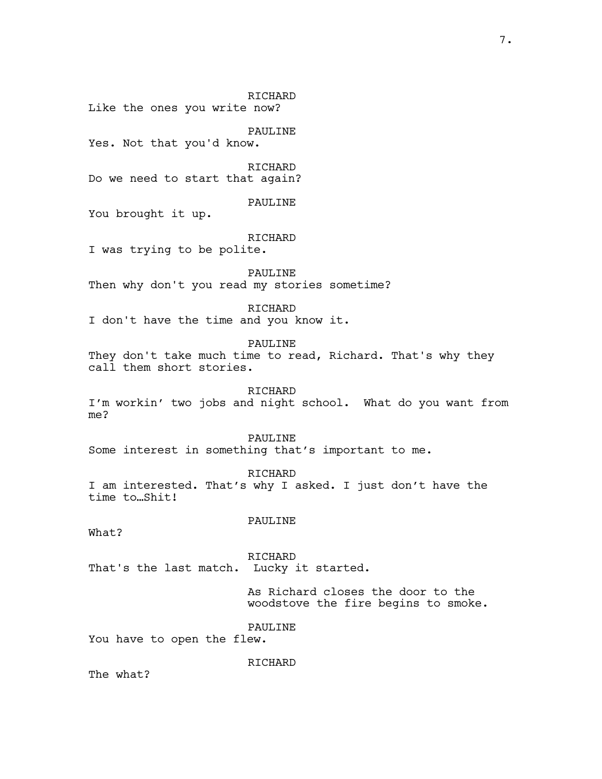RICHARD Like the ones you write now? PAULINE Yes. Not that you'd know. RICHARD Do we need to start that again? PAULINE You brought it up. RICHARD I was trying to be polite. PAULTNE Then why don't you read my stories sometime? RICHARD I don't have the time and you know it. PAULINE They don't take much time to read, Richard. That's why they call them short stories. RICHARD I'm workin' two jobs and night school. What do you want from me? PAULINE Some interest in something that's important to me. RICHARD I am interested. That's why I asked. I just don't have the time to…Shit! PAULINE What? RICHARD That's the last match. Lucky it started. As Richard closes the door to the woodstove the fire begins to smoke. PAULINE You have to open the flew. RICHARD

The what?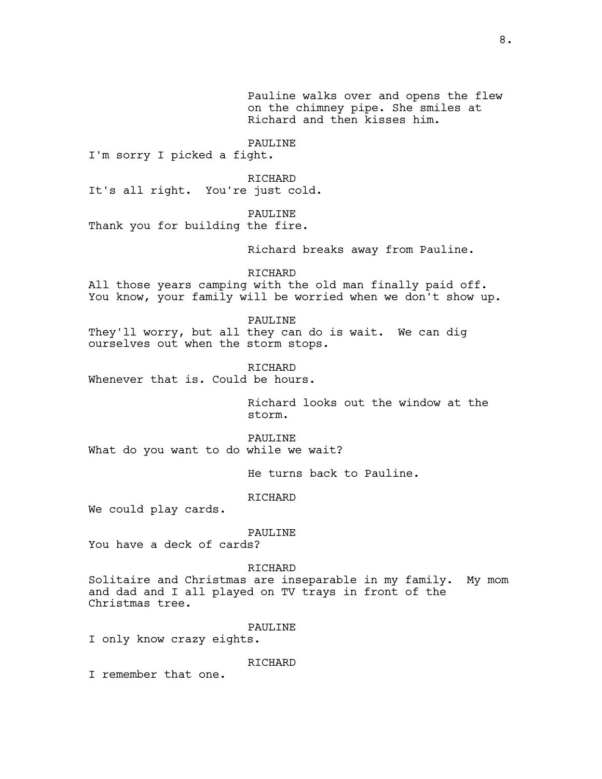Pauline walks over and opens the flew on the chimney pipe. She smiles at Richard and then kisses him.

PAULINE

I'm sorry I picked a fight.

RICHARD It's all right. You're just cold.

PAULTNE

Thank you for building the fire.

Richard breaks away from Pauline.

**RICHARD** 

All those years camping with the old man finally paid off. You know, your family will be worried when we don't show up.

PAULINE

They'll worry, but all they can do is wait. We can dig ourselves out when the storm stops.

RICHARD

Whenever that is. Could be hours.

Richard looks out the window at the storm.

PAULINE What do you want to do while we wait?

He turns back to Pauline.

RICHARD

We could play cards.

PAULINE

You have a deck of cards?

RICHARD

Solitaire and Christmas are inseparable in my family. My mom and dad and I all played on TV trays in front of the Christmas tree.

PAULINE

I only know crazy eights.

**RICHARD** 

I remember that one.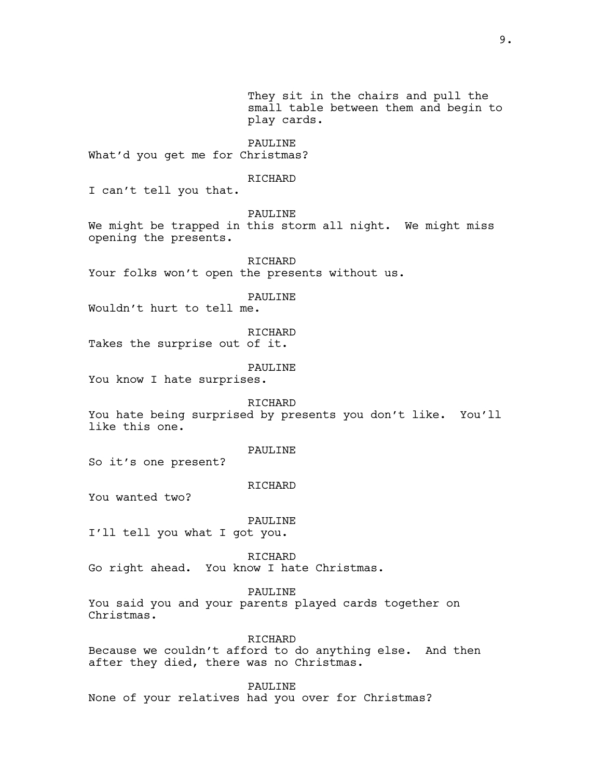They sit in the chairs and pull the small table between them and begin to play cards. PAULINE What'd you get me for Christmas? RICHARD I can't tell you that. PAULINE We might be trapped in this storm all night. We might miss opening the presents. RICHARD Your folks won't open the presents without us. PAULINE Wouldn't hurt to tell me. RICHARD Takes the surprise out of it. PAULINE You know I hate surprises. **RICHARD** You hate being surprised by presents you don't like. You'll like this one. PAULINE So it's one present? RICHARD You wanted two? PAULINE I'll tell you what I got you. RICHARD Go right ahead. You know I hate Christmas. PAULINE You said you and your parents played cards together on Christmas. RICHARD Because we couldn't afford to do anything else. And then after they died, there was no Christmas. PAULINE None of your relatives had you over for Christmas?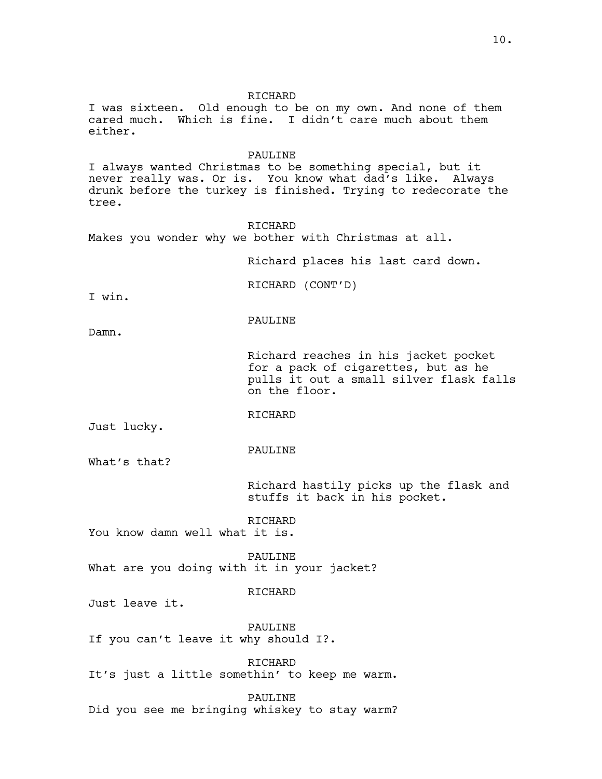RICHARD I was sixteen. Old enough to be on my own. And none of them cared much. Which is fine. I didn't care much about them either. PAULINE I always wanted Christmas to be something special, but it never really was. Or is. You know what dad's like. Always drunk before the turkey is finished. Trying to redecorate the tree. RICHARD Makes you wonder why we bother with Christmas at all. Richard places his last card down. RICHARD (CONT'D) I win. PAULINE Damn. Richard reaches in his jacket pocket for a pack of cigarettes, but as he pulls it out a small silver flask falls on the floor. RICHARD Just lucky. PAULINE What's that? Richard hastily picks up the flask and stuffs it back in his pocket. RICHARD You know damn well what it is. PAULINE What are you doing with it in your jacket? RICHARD Just leave it. PAULINE If you can't leave it why should I?. RICHARD It's just a little somethin' to keep me warm. PAULINE Did you see me bringing whiskey to stay warm?

# 10.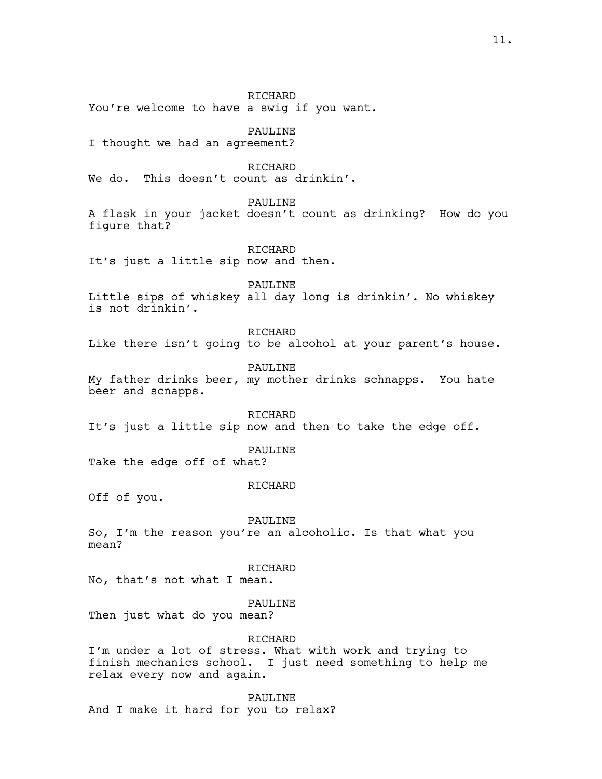RICHARD You're welcome to have a swig if you want. PAULINE I thought we had an agreement? RICHARD We do. This doesn't count as drinkin'. PAULINE A flask in your jacket doesn't count as drinking? How do you figure that? RICHARD It's just a little sip now and then. PAULINE Little sips of whiskey all day long is drinkin'. No whiskey is not drinkin'. RICHARD Like there isn't going to be alcohol at your parent's house. PAULINE My father drinks beer, my mother drinks schnapps. You hate beer and scnapps. RICHARD It's just a little sip now and then to take the edge off. PAULINE Take the edge off of what? RICHARD Off of you. PAULINE So, I'm the reason you're an alcoholic. Is that what you mean? RICHARD No, that's not what I mean. PAULINE Then just what do you mean? RICHARD I'm under a lot of stress. What with work and trying to finish mechanics school. I just need something to help me relax every now and again. PAULINE

And I make it hard for you to relax?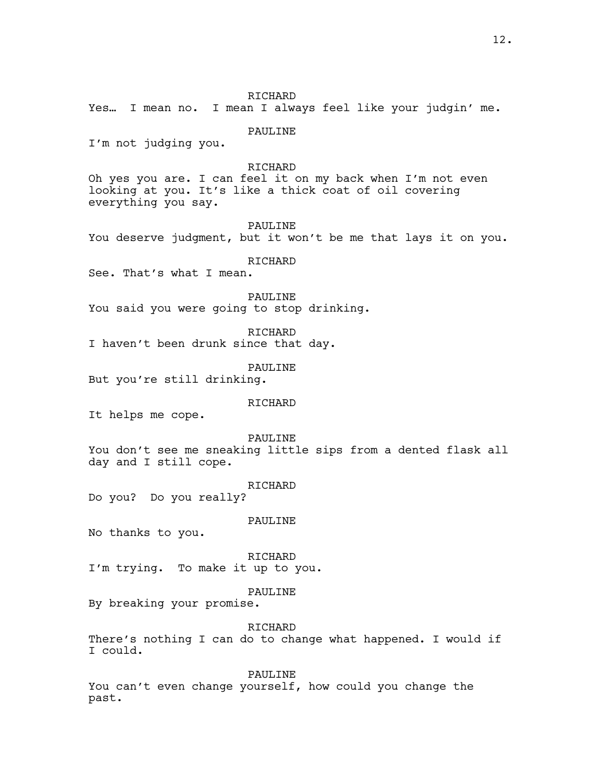RICHARD Yes… I mean no. I mean I always feel like your judgin' me. PAULINE I'm not judging you. RICHARD Oh yes you are. I can feel it on my back when I'm not even looking at you. It's like a thick coat of oil covering everything you say. PAULINE You deserve judgment, but it won't be me that lays it on you. RICHARD See. That's what I mean. PAULINE You said you were going to stop drinking. **RICHARD** I haven't been drunk since that day. PAULINE But you're still drinking. **RICHARD** It helps me cope. PAULINE You don't see me sneaking little sips from a dented flask all day and I still cope. RICHARD Do you? Do you really? PAULINE No thanks to you. RICHARD I'm trying. To make it up to you. PAULINE By breaking your promise. **RICHARD** There's nothing I can do to change what happened. I would if I could. PAULINE You can't even change yourself, how could you change the past.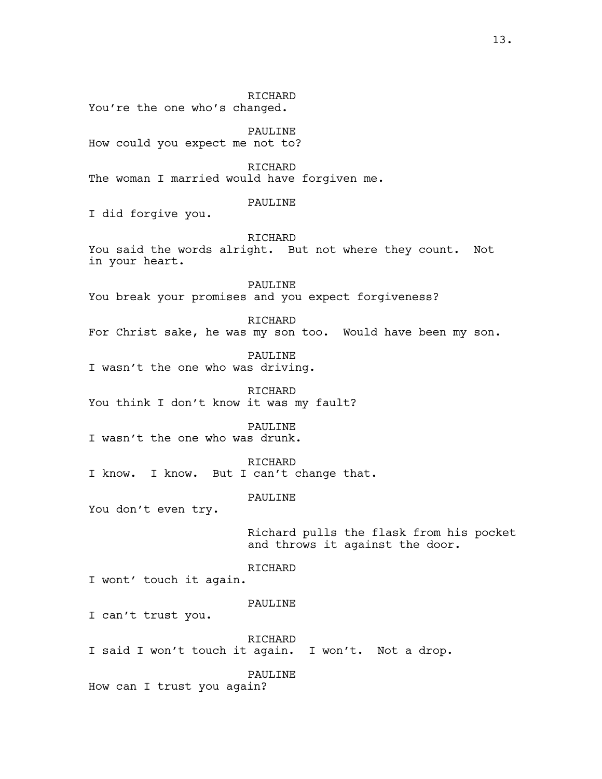RICHARD You're the one who's changed. PAULINE How could you expect me not to? RICHARD The woman I married would have forgiven me. PAULINE I did forgive you. RICHARD You said the words alright. But not where they count. Not in your heart. PAULINE You break your promises and you expect forgiveness? RICHARD For Christ sake, he was my son too. Would have been my son. PAULINE I wasn't the one who was driving. RICHARD You think I don't know it was my fault? PAULINE I wasn't the one who was drunk. RICHARD I know. I know. But I can't change that. PAULINE You don't even try. Richard pulls the flask from his pocket and throws it against the door. RICHARD I wont' touch it again. PAULINE I can't trust you. RICHARD I said I won't touch it again. I won't. Not a drop. PAULINE How can I trust you again?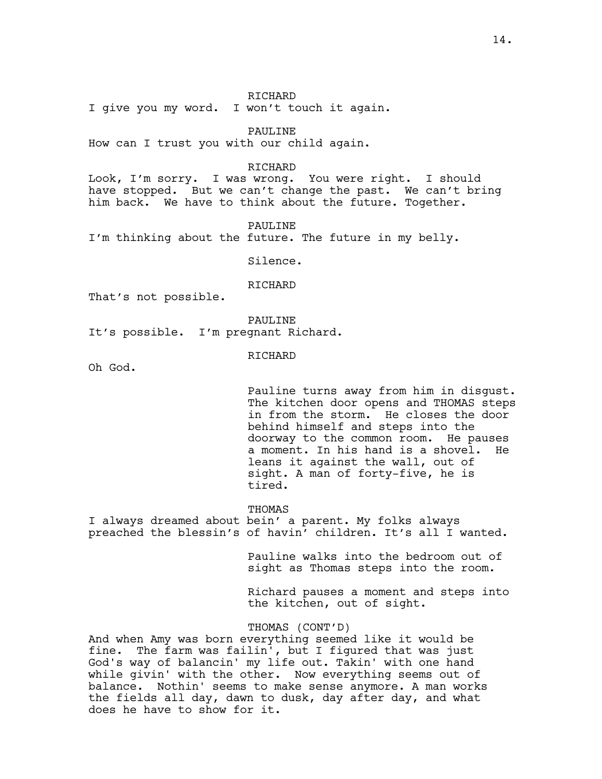RICHARD

I give you my word. I won't touch it again.

PAULINE

How can I trust you with our child again.

### RICHARD

Look, I'm sorry. I was wrong. You were right. I should have stopped. But we can't change the past. We can't bring him back. We have to think about the future. Together.

PAULINE

I'm thinking about the future. The future in my belly.

Silence.

#### RICHARD

That's not possible.

PAULINE

It's possible. I'm pregnant Richard.

# RICHARD

Oh God.

Pauline turns away from him in disgust. The kitchen door opens and THOMAS steps in from the storm. He closes the door behind himself and steps into the doorway to the common room. He pauses a moment. In his hand is a shovel. He leans it against the wall, out of sight. A man of forty-five, he is tired.

THOMAS

I always dreamed about bein' a parent. My folks always preached the blessin's of havin' children. It's all I wanted.

> Pauline walks into the bedroom out of sight as Thomas steps into the room.

Richard pauses a moment and steps into the kitchen, out of sight.

# THOMAS (CONT'D)

And when Amy was born everything seemed like it would be fine. The farm was failin', but I figured that was just God's way of balancin' my life out. Takin' with one hand while givin' with the other. Now everything seems out of balance. Nothin' seems to make sense anymore. A man works the fields all day, dawn to dusk, day after day, and what does he have to show for it.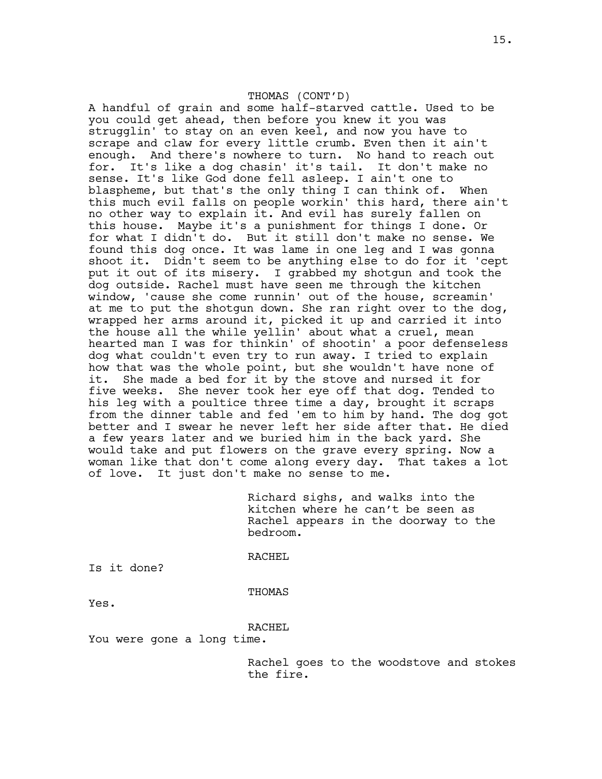## THOMAS (CONT'D)

A handful of grain and some half-starved cattle. Used to be you could get ahead, then before you knew it you was strugglin' to stay on an even keel, and now you have to scrape and claw for every little crumb. Even then it ain't enough. And there's nowhere to turn. No hand to reach out for. It's like a dog chasin' it's tail. It don't make no sense. It's like God done fell asleep. I ain't one to blaspheme, but that's the only thing I can think of. When this much evil falls on people workin' this hard, there ain't no other way to explain it. And evil has surely fallen on this house. Maybe it's a punishment for things I done. Or for what I didn't do. But it still don't make no sense. We found this dog once. It was lame in one leg and I was gonna shoot it. Didn't seem to be anything else to do for it 'cept put it out of its misery. I grabbed my shotgun and took the dog outside. Rachel must have seen me through the kitchen window, 'cause she come runnin' out of the house, screamin' at me to put the shotgun down. She ran right over to the dog, wrapped her arms around it, picked it up and carried it into the house all the while yellin' about what a cruel, mean hearted man I was for thinkin' of shootin' a poor defenseless dog what couldn't even try to run away. I tried to explain how that was the whole point, but she wouldn't have none of it. She made a bed for it by the stove and nursed it for five weeks. She never took her eye off that dog. Tended to his leg with a poultice three time a day, brought it scraps from the dinner table and fed 'em to him by hand. The dog got better and I swear he never left her side after that. He died a few years later and we buried him in the back yard. She would take and put flowers on the grave every spring. Now a woman like that don't come along every day. That takes a lot of love. It just don't make no sense to me.

> Richard sighs, and walks into the kitchen where he can't be seen as Rachel appears in the doorway to the bedroom.

RACHEL

Is it done?

THOMAS

Yes.

# RACHEL

You were gone a long time.

Rachel goes to the woodstove and stokes the fire.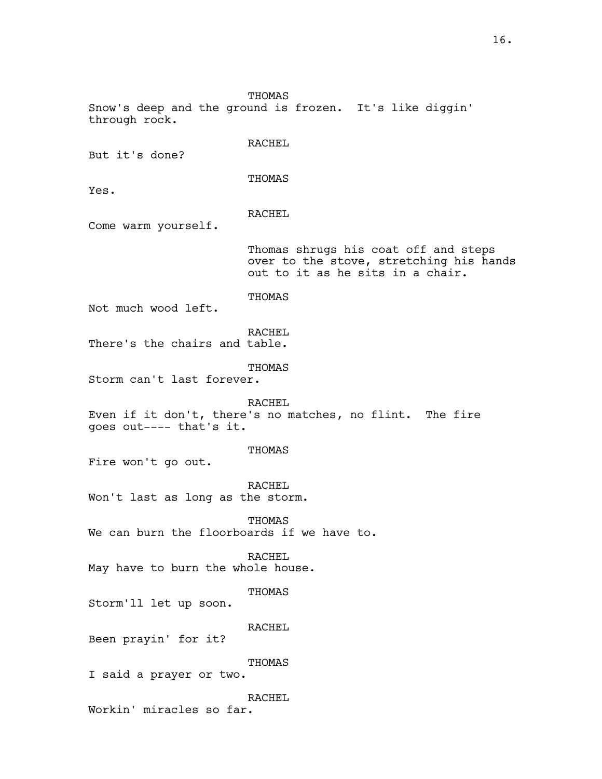THOMAS Snow's deep and the ground is frozen. It's like diggin' through rock. RACHEL But it's done? THOMAS Yes. RACHEL Come warm yourself. Thomas shrugs his coat off and steps over to the stove, stretching his hands out to it as he sits in a chair. THOMAS Not much wood left. RACHEL There's the chairs and table. THOMAS Storm can't last forever. RACHEL Even if it don't, there's no matches, no flint. The fire goes out---- that's it. THOMAS Fire won't go out. RACHEL Won't last as long as the storm. THOMAS We can burn the floorboards if we have to. RACHEL May have to burn the whole house. THOMAS Storm'll let up soon. RACHEL Been prayin' for it? THOMAS I said a prayer or two. RACHEL Workin' miracles so far.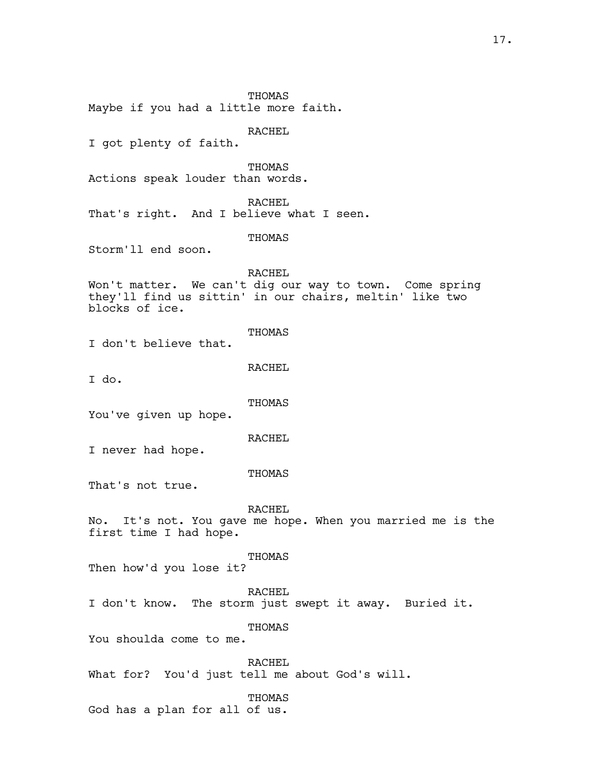THOMAS Maybe if you had a little more faith. RACHEL I got plenty of faith. THOMAS Actions speak louder than words. RACHEL That's right. And I believe what I seen. THOMAS Storm'll end soon. RACHEL Won't matter. We can't dig our way to town. Come spring they'll find us sittin' in our chairs, meltin' like two blocks of ice. THOMAS I don't believe that. RACHEL I do. **THOMAS** You've given up hope. RACHEL I never had hope. THOMAS That's not true. RACHEL No. It's not. You gave me hope. When you married me is the first time I had hope. THOMAS Then how'd you lose it? RACHEL I don't know. The storm just swept it away. Buried it. THOMAS You shoulda come to me. RACHEL What for? You'd just tell me about God's will. THOMAS God has a plan for all of us.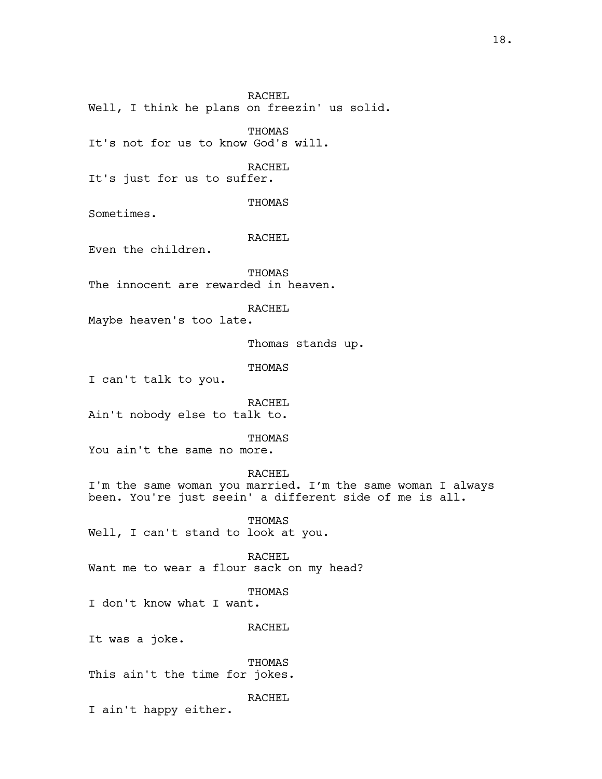RACHEL Well, I think he plans on freezin' us solid. THOMAS It's not for us to know God's will. RACHEL It's just for us to suffer. THOMAS Sometimes. RACHEL Even the children. **THOMAS** The innocent are rewarded in heaven. RACHEL Maybe heaven's too late. Thomas stands up. THOMAS I can't talk to you. RACHEL Ain't nobody else to talk to. THOMAS You ain't the same no more. RACHEL I'm the same woman you married. I'm the same woman I always been. You're just seein' a different side of me is all. THOMAS Well, I can't stand to look at you. RACHEL Want me to wear a flour sack on my head? THOMAS I don't know what I want. RACHEL It was a joke. THOMAS This ain't the time for jokes. RACHEL I ain't happy either.

# 18.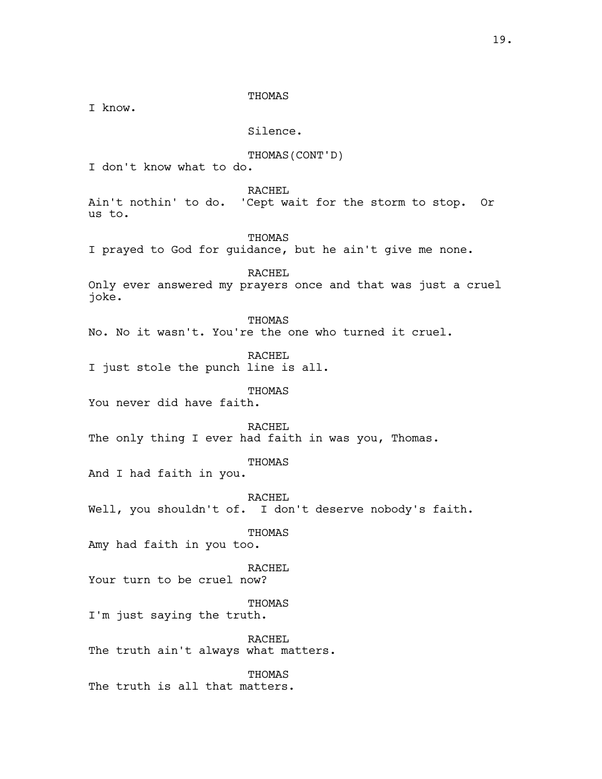THOMAS I know. Silence. THOMAS(CONT'D) I don't know what to do. RACHEL Ain't nothin' to do. 'Cept wait for the storm to stop. Or us to. THOMAS I prayed to God for guidance, but he ain't give me none. RACHEL Only ever answered my prayers once and that was just a cruel joke. THOMAS No. No it wasn't. You're the one who turned it cruel. RACHEL I just stole the punch line is all. THOMAS You never did have faith. RACHEL The only thing I ever had faith in was you, Thomas. THOMAS And I had faith in you. RACHEL Well, you shouldn't of. I don't deserve nobody's faith. THOMAS Amy had faith in you too. RACHEL Your turn to be cruel now? THOMAS I'm just saying the truth. RACHEL The truth ain't always what matters. THOMAS The truth is all that matters.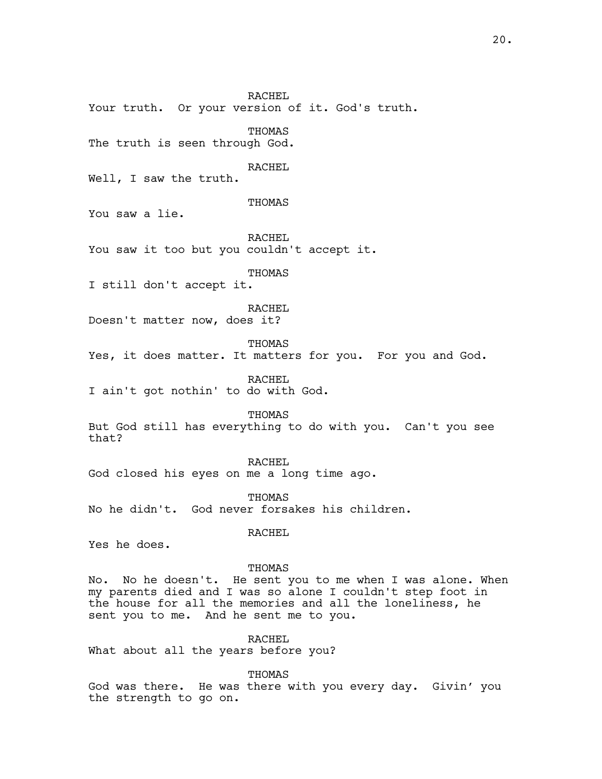RACHEL Your truth. Or your version of it. God's truth. THOMAS The truth is seen through God. RACHEL Well, I saw the truth. **THOMAS** You saw a lie. RACHEL You saw it too but you couldn't accept it. THOMAS I still don't accept it. RACHEL Doesn't matter now, does it? THOMAS Yes, it does matter. It matters for you. For you and God. RACHEL I ain't got nothin' to do with God. THOMAS But God still has everything to do with you. Can't you see that? RACHEL God closed his eyes on me a long time ago. **THOMAS** No he didn't. God never forsakes his children. RACHEL Yes he does. THOMAS No. No he doesn't. He sent you to me when I was alone. When my parents died and I was so alone I couldn't step foot in the house for all the memories and all the loneliness, he sent you to me. And he sent me to you.

RACHEL

What about all the years before you?

THOMAS

God was there. He was there with you every day. Givin' you the strength to go on.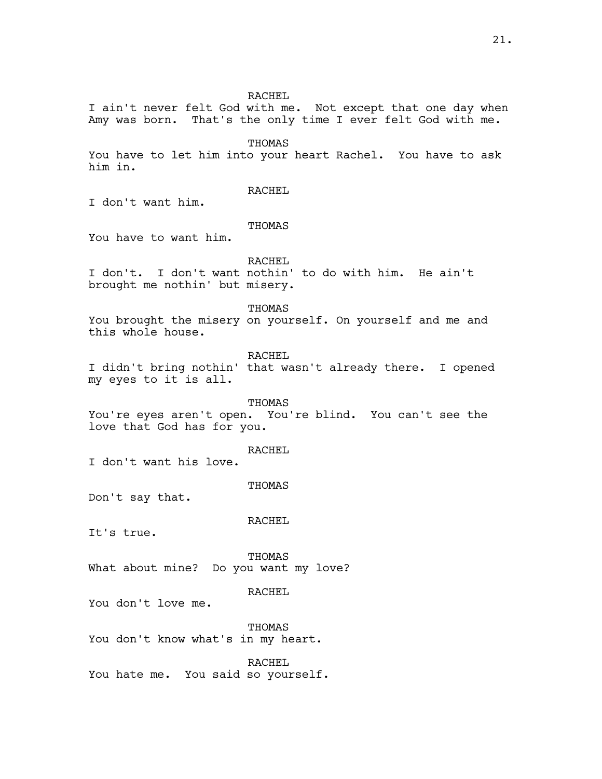RACHEL I ain't never felt God with me. Not except that one day when Amy was born. That's the only time I ever felt God with me. THOMAS You have to let him into your heart Rachel. You have to ask him in. RACHEL I don't want him. THOMAS You have to want him. RACHEL I don't. I don't want nothin' to do with him. He ain't brought me nothin' but misery. THOMAS You brought the misery on yourself. On yourself and me and this whole house. RACHEL I didn't bring nothin' that wasn't already there. I opened my eyes to it is all. THOMAS You're eyes aren't open. You're blind. You can't see the love that God has for you. RACHEL I don't want his love. THOMAS Don't say that. RACHEL It's true. THOMAS What about mine? Do you want my love? RACHEL You don't love me. THOMAS You don't know what's in my heart. RACHEL

You hate me. You said so yourself.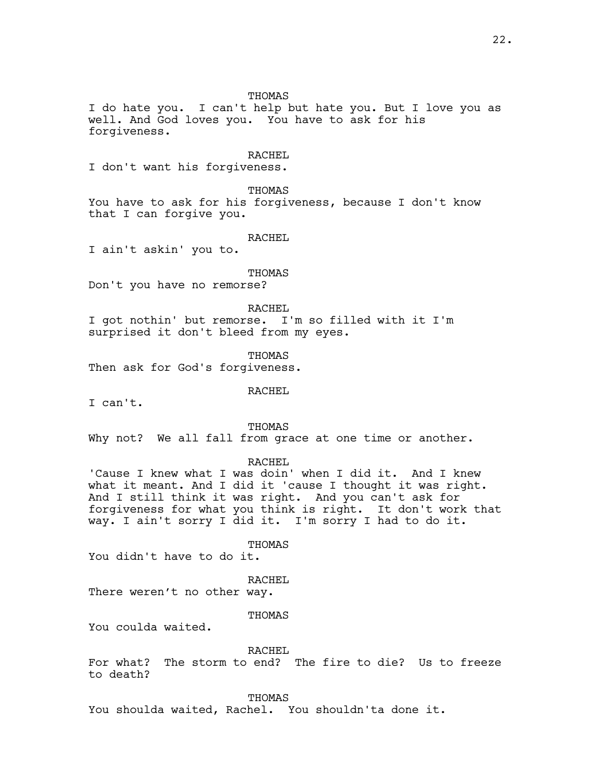I do hate you. I can't help but hate you. But I love you as well. And God loves you. You have to ask for his forgiveness.

RACHEL

**THOMAS** 

I don't want his forgiveness.

**THOMAS** 

You have to ask for his forgiveness, because I don't know that I can forgive you.

RACHEL

I ain't askin' you to.

THOMAS

Don't you have no remorse?

RACHEL

I got nothin' but remorse. I'm so filled with it I'm surprised it don't bleed from my eyes.

THOMAS

Then ask for God's forgiveness.

RACHEL

I can't.

THOMAS

Why not? We all fall from grace at one time or another.

RACHEL

'Cause I knew what I was doin' when I did it. And I knew what it meant. And I did it 'cause I thought it was right. And I still think it was right. And you can't ask for forgiveness for what you think is right. It don't work that way. I ain't sorry I did it. I'm sorry I had to do it.

THOMAS

You didn't have to do it.

RACHEL

There weren't no other way.

THOMAS

You coulda waited.

RACHEL

For what? The storm to end? The fire to die? Us to freeze to death?

THOMAS

You shoulda waited, Rachel. You shouldn'ta done it.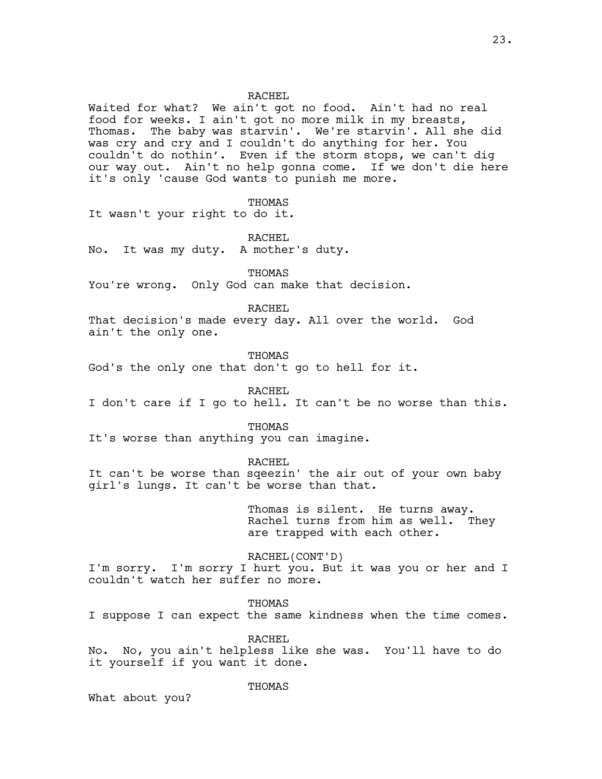### RACHEL

Waited for what? We ain't got no food. Ain't had no real food for weeks. I ain't got no more milk in my breasts, Thomas. The baby was starvin'. We're starvin'. All she did was cry and cry and I couldn't do anything for her. You couldn't do nothin'. Even if the storm stops, we can't dig our way out. Ain't no help gonna come. If we don't die here it's only 'cause God wants to punish me more.

**THOMAS** 

It wasn't your right to do it.

RACHEL

No. It was my duty. A mother's duty.

**THOMAS** 

You're wrong. Only God can make that decision.

RACHEL

That decision's made every day. All over the world. God ain't the only one.

THOMAS

God's the only one that don't go to hell for it.

RACHEL

I don't care if I go to hell. It can't be no worse than this.

THOMAS

It's worse than anything you can imagine.

#### RACHEL

It can't be worse than sqeezin' the air out of your own baby girl's lungs. It can't be worse than that.

> Thomas is silent. He turns away. Rachel turns from him as well. They are trapped with each other.

RACHEL(CONT'D) I'm sorry. I'm sorry I hurt you. But it was you or her and I couldn't watch her suffer no more.

THOMAS I suppose I can expect the same kindness when the time comes.

RACHEL

No. No, you ain't helpless like she was. You'll have to do it yourself if you want it done.

THOMAS

What about you?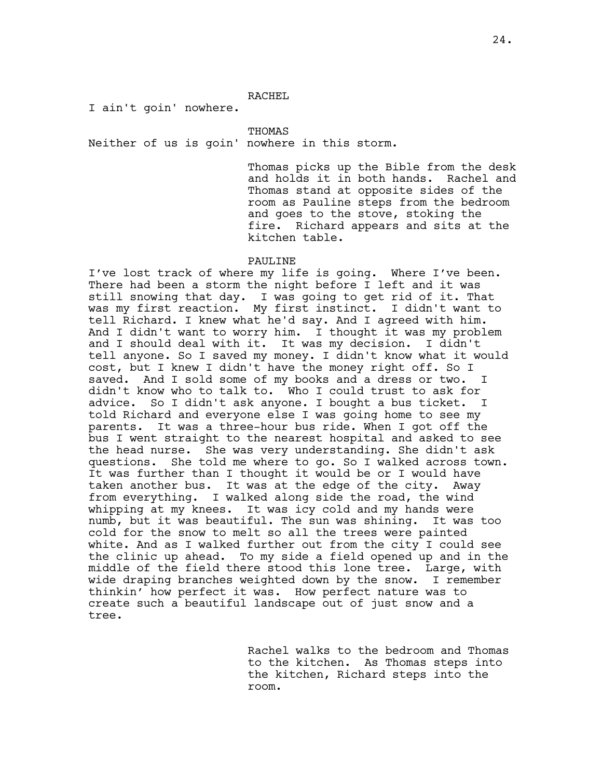I ain't goin' nowhere.

THOMAS

Neither of us is goin' nowhere in this storm.

Thomas picks up the Bible from the desk and holds it in both hands. Rachel and Thomas stand at opposite sides of the room as Pauline steps from the bedroom and goes to the stove, stoking the fire. Richard appears and sits at the kitchen table.

#### PAULINE

I've lost track of where my life is going. Where I've been. There had been a storm the night before I left and it was still snowing that day. I was going to get rid of it. That was my first reaction. My first instinct. I didn't want to tell Richard. I knew what he'd say. And I agreed with him. And I didn't want to worry him. I thought it was my problem and I should deal with it. It was my decision. I didn't tell anyone. So I saved my money. I didn't know what it would cost, but I knew I didn't have the money right off. So I saved. And I sold some of my books and a dress or two. I didn't know who to talk to. Who I could trust to ask for advice. So I didn't ask anyone. I bought a bus ticket. I told Richard and everyone else I was going home to see my parents. It was a three-hour bus ride. When I got off the bus I went straight to the nearest hospital and asked to see the head nurse. She was very understanding. She didn't ask questions. She told me where to go. So I walked across town. It was further than I thought it would be or I would have taken another bus. It was at the edge of the city. Away from everything. I walked along side the road, the wind whipping at my knees. It was icy cold and my hands were numb, but it was beautiful. The sun was shining. It was too cold for the snow to melt so all the trees were painted white. And as I walked further out from the city I could see the clinic up ahead. To my side a field opened up and in the middle of the field there stood this lone tree. Large, with wide draping branches weighted down by the snow. I remember thinkin' how perfect it was. How perfect nature was to create such a beautiful landscape out of just snow and a tree.

> Rachel walks to the bedroom and Thomas to the kitchen. As Thomas steps into the kitchen, Richard steps into the room.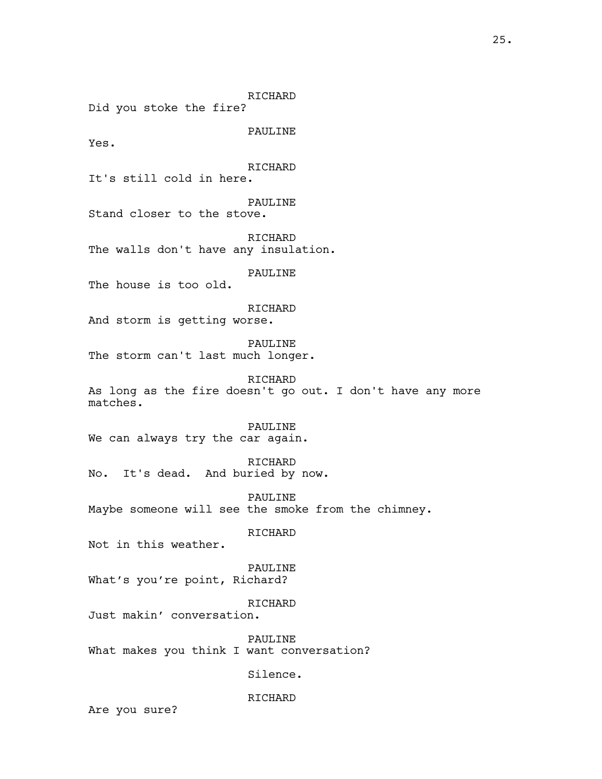RICHARD Did you stoke the fire? PAULINE Yes. RICHARD It's still cold in here. PAULINE Stand closer to the stove. RICHARD The walls don't have any insulation. PAULINE The house is too old. RICHARD And storm is getting worse. PAULINE The storm can't last much longer. RICHARD As long as the fire doesn't go out. I don't have any more matches. PAULINE We can always try the car again. RICHARD No. It's dead. And buried by now. PAULINE Maybe someone will see the smoke from the chimney. RICHARD Not in this weather. PAULINE What's you're point, Richard? RICHARD Just makin' conversation. PAULINE What makes you think I want conversation? Silence. RICHARD Are you sure?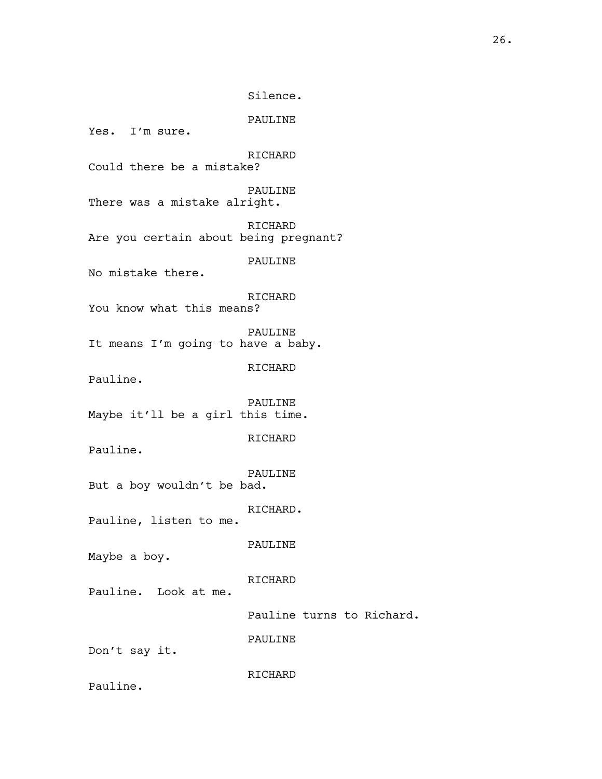PAULINE Yes. I'm sure. RICHARD Could there be a mistake? PAULINE There was a mistake alright. RICHARD Are you certain about being pregnant? PAULINE No mistake there. RICHARD You know what this means? PAULINE It means I'm going to have a baby. RICHARD Pauline. PAULINE Maybe it'll be a girl this time. RICHARD Pauline. PAULINE But a boy wouldn't be bad. RICHARD. Pauline, listen to me. PAULINE Maybe a boy. RICHARD Pauline. Look at me. Pauline turns to Richard. PAULINE Don't say it. RICHARD Pauline.

Silence.

26.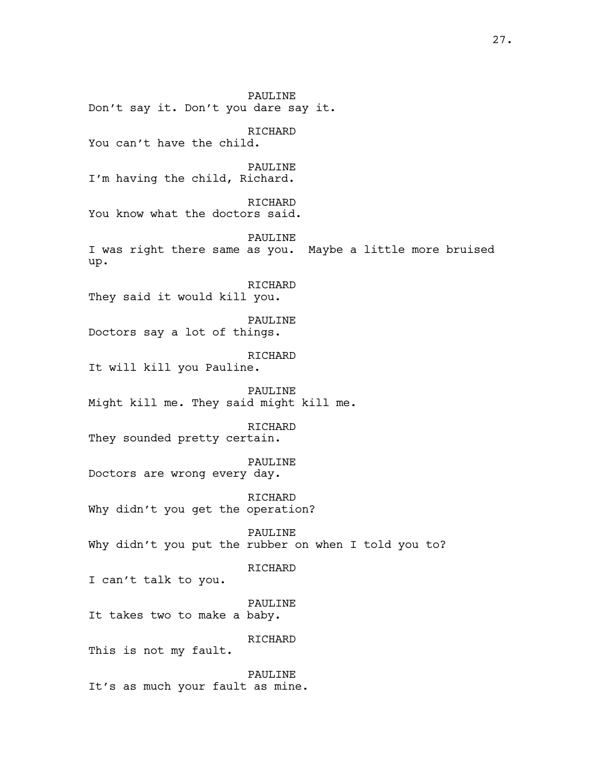PAULINE Don't say it. Don't you dare say it. RICHARD You can't have the child. PAULINE I'm having the child, Richard. RICHARD You know what the doctors said. PAULINE I was right there same as you. Maybe a little more bruised up. RICHARD They said it would kill you. PAULINE Doctors say a lot of things. RICHARD It will kill you Pauline. PAULINE Might kill me. They said might kill me. RICHARD They sounded pretty certain. PAULINE Doctors are wrong every day. RICHARD Why didn't you get the operation? PAULINE Why didn't you put the rubber on when I told you to? RICHARD I can't talk to you. PAULINE It takes two to make a baby. RICHARD This is not my fault. PAULINE It's as much your fault as mine.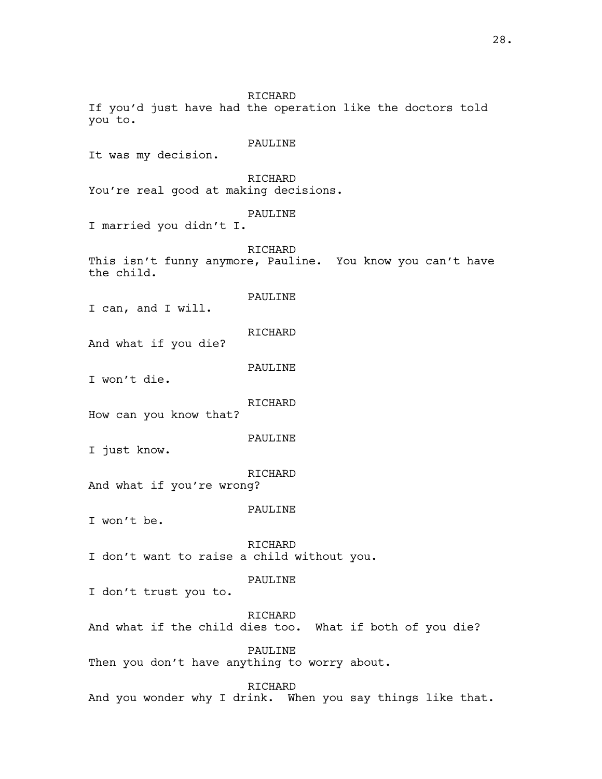RICHARD If you'd just have had the operation like the doctors told you to. PAULINE It was my decision. RICHARD You're real good at making decisions. PAULINE I married you didn't I. RICHARD This isn't funny anymore, Pauline. You know you can't have the child. PAULINE I can, and I will. RICHARD And what if you die? PAULINE I won't die. RICHARD How can you know that? PAULINE I just know. RICHARD And what if you're wrong? PAULINE I won't be. RICHARD I don't want to raise a child without you. PAULINE I don't trust you to. RICHARD And what if the child dies too. What if both of you die? PAULINE Then you don't have anything to worry about. RICHARD And you wonder why I drink. When you say things like that.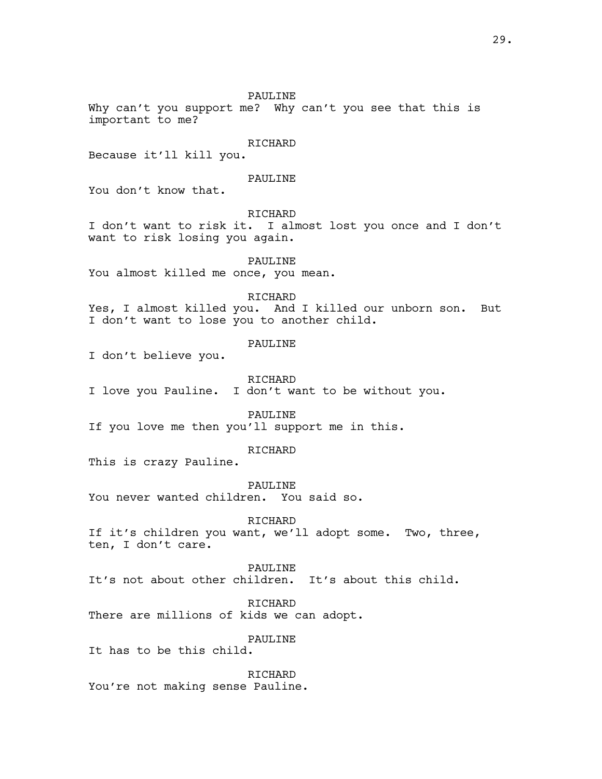PAULINE Why can't you support me? Why can't you see that this is important to me? RICHARD Because it'll kill you. PAULINE You don't know that. RICHARD I don't want to risk it. I almost lost you once and I don't want to risk losing you again. PAULINE You almost killed me once, you mean. RICHARD Yes, I almost killed you. And I killed our unborn son. But I don't want to lose you to another child. PAULINE I don't believe you. RICHARD I love you Pauline. I don't want to be without you. PAULINE If you love me then you'll support me in this. RICHARD This is crazy Pauline. PAULINE You never wanted children. You said so. RICHARD If it's children you want, we'll adopt some. Two, three, ten, I don't care. PAULINE It's not about other children. It's about this child. RICHARD There are millions of kids we can adopt. PAULINE It has to be this child. RICHARD You're not making sense Pauline.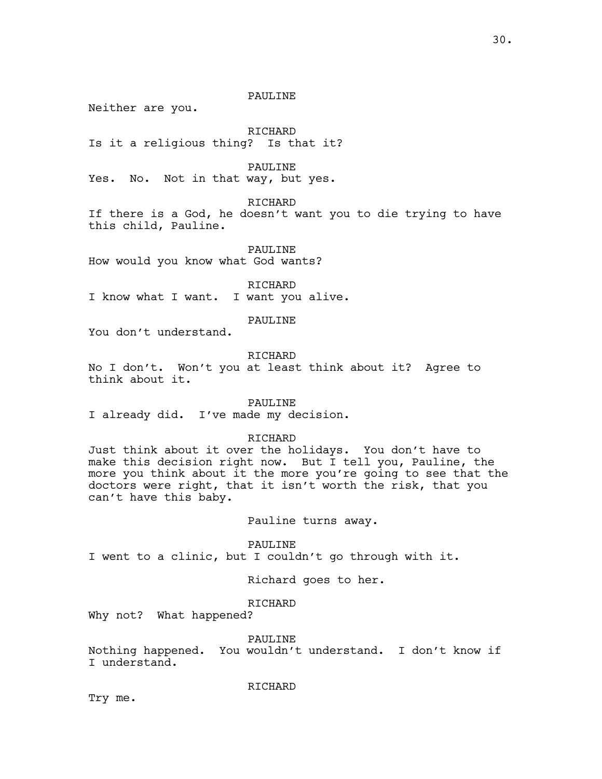PAULINE

Neither are you.

RICHARD Is it a religious thing? Is that it?

PAULINE

Yes. No. Not in that way, but yes.

RICHARD

If there is a God, he doesn't want you to die trying to have this child, Pauline.

PAULINE How would you know what God wants?

RICHARD I know what I want. I want you alive.

PAULINE

You don't understand.

RICHARD

No I don't. Won't you at least think about it? Agree to think about it.

PAULTNE

I already did. I've made my decision.

# RICHARD

Just think about it over the holidays. You don't have to make this decision right now. But I tell you, Pauline, the more you think about it the more you're going to see that the doctors were right, that it isn't worth the risk, that you can't have this baby.

Pauline turns away.

PAULINE

I went to a clinic, but I couldn't go through with it.

Richard goes to her.

# RICHARD

Why not? What happened?

# PAULINE

Nothing happened. You wouldn't understand. I don't know if I understand.

RICHARD

Try me.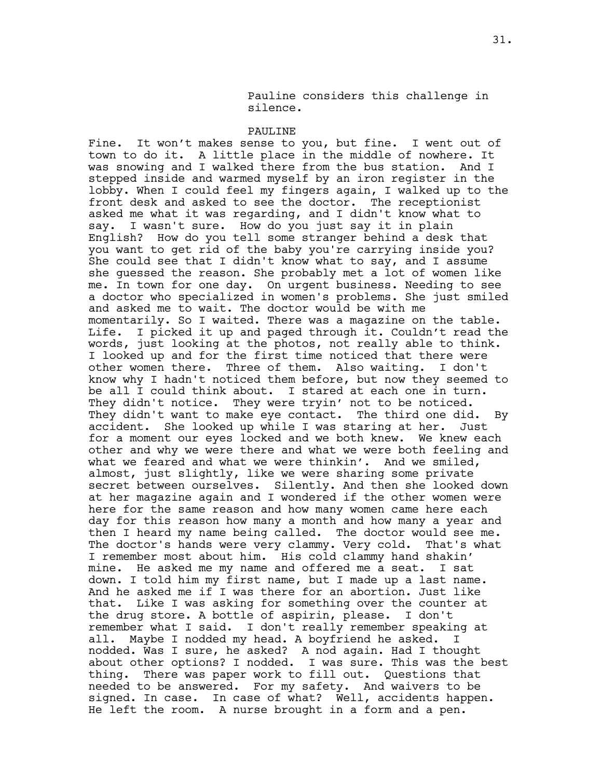Pauline considers this challenge in silence.

#### PAULINE

Fine. It won't makes sense to you, but fine. I went out of town to do it. A little place in the middle of nowhere. It was snowing and I walked there from the bus station. And I stepped inside and warmed myself by an iron register in the lobby. When I could feel my fingers again, I walked up to the front desk and asked to see the doctor. The receptionist asked me what it was regarding, and I didn't know what to say. I wasn't sure. How do you just say it in plain English? How do you tell some stranger behind a desk that you want to get rid of the baby you're carrying inside you? She could see that I didn't know what to say, and I assume she guessed the reason. She probably met a lot of women like me. In town for one day. On urgent business. Needing to see a doctor who specialized in women's problems. She just smiled and asked me to wait. The doctor would be with me momentarily. So I waited. There was a magazine on the table. Life. I picked it up and paged through it. Couldn't read the words, just looking at the photos, not really able to think. I looked up and for the first time noticed that there were other women there. Three of them. Also waiting. I don't know why I hadn't noticed them before, but now they seemed to be all I could think about. I stared at each one in turn. They didn't notice. They were tryin' not to be noticed. They didn't want to make eye contact. The third one did. By accident. She looked up while I was staring at her. Just for a moment our eyes locked and we both knew. We knew each other and why we were there and what we were both feeling and what we feared and what we were thinkin'. And we smiled, almost, just slightly, like we were sharing some private secret between ourselves. Silently. And then she looked down at her magazine again and I wondered if the other women were here for the same reason and how many women came here each day for this reason how many a month and how many a year and then I heard my name being called. The doctor would see me. The doctor's hands were very clammy. Very cold. That's what I remember most about him. His cold clammy hand shakin' mine. He asked me my name and offered me a seat. I sat down. I told him my first name, but I made up a last name. And he asked me if I was there for an abortion. Just like that. Like I was asking for something over the counter at the drug store. A bottle of aspirin, please. I don't remember what I said. I don't really remember speaking at all. Maybe I nodded my head. A boyfriend he asked. I nodded. Was I sure, he asked? A nod again. Had I thought about other options? I nodded. I was sure. This was the best thing. There was paper work to fill out. Questions that needed to be answered. For my safety. And waivers to be signed. In case. In case of what? Well, accidents happen. He left the room. A nurse brought in a form and a pen.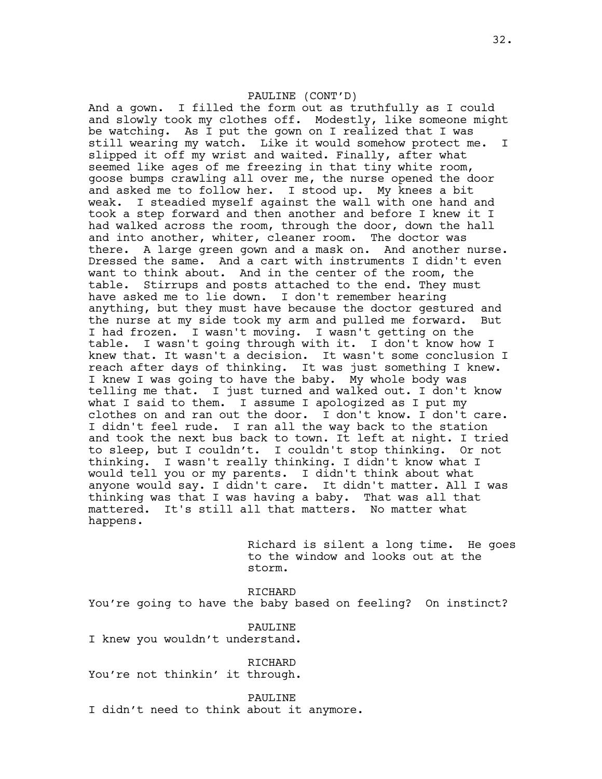### PAULINE (CONT'D)

And a gown. I filled the form out as truthfully as I could and slowly took my clothes off. Modestly, like someone might be watching. As I put the gown on I realized that I was still wearing my watch. Like it would somehow protect me. I slipped it off my wrist and waited. Finally, after what seemed like ages of me freezing in that tiny white room, goose bumps crawling all over me, the nurse opened the door and asked me to follow her. I stood up. My knees a bit weak. I steadied myself against the wall with one hand and took a step forward and then another and before I knew it I had walked across the room, through the door, down the hall and into another, whiter, cleaner room. The doctor was there. A large green gown and a mask on. And another nurse. Dressed the same. And a cart with instruments I didn't even want to think about. And in the center of the room, the table. Stirrups and posts attached to the end. They must have asked me to lie down. I don't remember hearing anything, but they must have because the doctor gestured and the nurse at my side took my arm and pulled me forward. But I had frozen. I wasn't moving. I wasn't getting on the table. I wasn't going through with it. I don't know how I knew that. It wasn't a decision. It wasn't some conclusion I reach after days of thinking. It was just something I knew. I knew I was going to have the baby. My whole body was telling me that. I just turned and walked out. I don't know what I said to them. I assume I apologized as I put my clothes on and ran out the door. I don't know. I don't care. I didn't feel rude. I ran all the way back to the station and took the next bus back to town. It left at night. I tried to sleep, but I couldn't. I couldn't stop thinking. Or not thinking. I wasn't really thinking. I didn't know what I would tell you or my parents. I didn't think about what anyone would say. I didn't care. It didn't matter. All I was thinking was that I was having a baby. That was all that mattered. It's still all that matters. No matter what happens.

> Richard is silent a long time. He goes to the window and looks out at the storm.

RICHARD You're going to have the baby based on feeling? On instinct?

PAULINE I knew you wouldn't understand.

**RICHARD** You're not thinkin' it through.

PAULINE I didn't need to think about it anymore.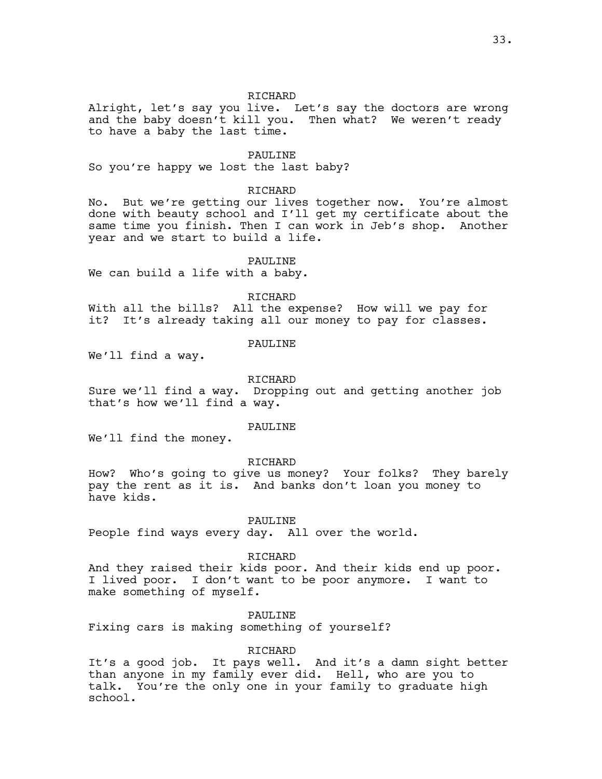### RICHARD

Alright, let's say you live. Let's say the doctors are wrong and the baby doesn't kill you. Then what? We weren't ready to have a baby the last time.

### PAULINE

So you're happy we lost the last baby?

### RICHARD

No. But we're getting our lives together now. You're almost done with beauty school and I'll get my certificate about the same time you finish. Then I can work in Jeb's shop. Another year and we start to build a life.

### PAULINE

We can build a life with a baby.

### **RICHARD**

With all the bills? All the expense? How will we pay for it? It's already taking all our money to pay for classes.

### PAULTNE

We'll find a way.

### RICHARD

Sure we'll find a way. Dropping out and getting another job that's how we'll find a way.

### PAULINE

We'll find the money.

### RICHARD

How? Who's going to give us money? Your folks? They barely pay the rent as it is. And banks don't loan you money to have kids.

#### PAULINE

People find ways every day. All over the world.

### RICHARD

And they raised their kids poor. And their kids end up poor. I lived poor. I don't want to be poor anymore. I want to make something of myself.

PAULINE

Fixing cars is making something of yourself?

# RICHARD

It's a good job. It pays well. And it's a damn sight better than anyone in my family ever did. Hell, who are you to talk. You're the only one in your family to graduate high school.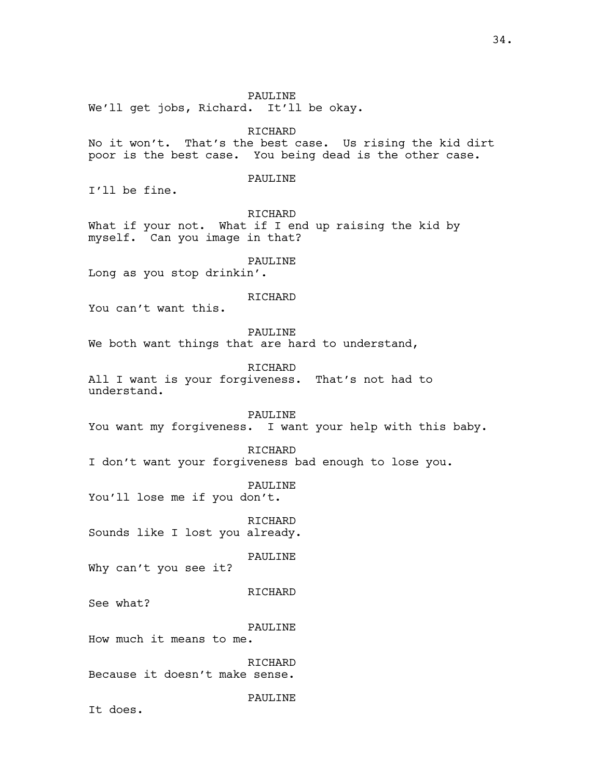PAULINE We'll get jobs, Richard. It'll be okay. RICHARD No it won't. That's the best case. Us rising the kid dirt poor is the best case. You being dead is the other case. PAULINE I'll be fine. RICHARD What if your not. What if I end up raising the kid by myself. Can you image in that? PAULINE Long as you stop drinkin'. RICHARD You can't want this. PAULINE We both want things that are hard to understand, RICHARD All I want is your forgiveness. That's not had to understand. PAULINE You want my forgiveness. I want your help with this baby. RICHARD I don't want your forgiveness bad enough to lose you. PAULINE You'll lose me if you don't. RICHARD Sounds like I lost you already. PAULINE Why can't you see it? RICHARD See what? PAULINE How much it means to me. RICHARD Because it doesn't make sense. PAULINE It does.

34.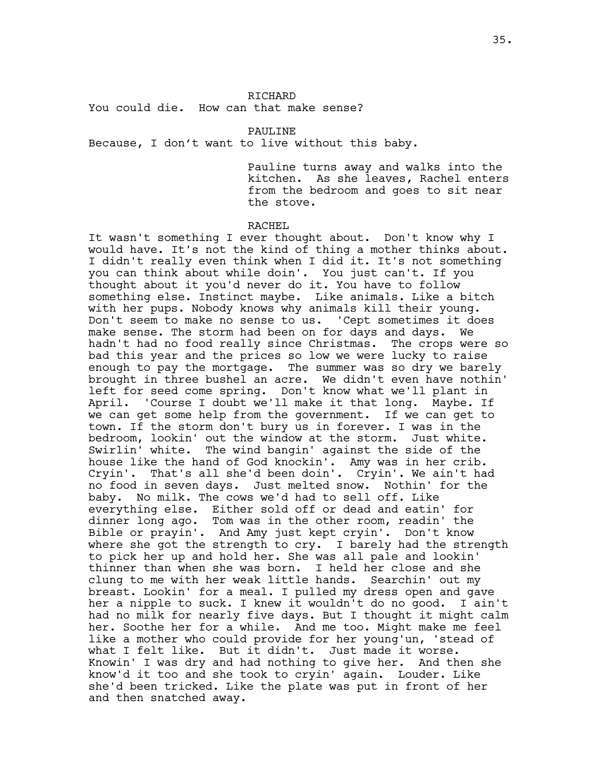You could die. How can that make sense?

#### PAULINE

Because, I don't want to live without this baby.

Pauline turns away and walks into the kitchen. As she leaves, Rachel enters from the bedroom and goes to sit near the stove.

### RACHEL

It wasn't something I ever thought about. Don't know why I would have. It's not the kind of thing a mother thinks about. I didn't really even think when I did it. It's not something you can think about while doin'. You just can't. If you thought about it you'd never do it. You have to follow something else. Instinct maybe. Like animals. Like a bitch with her pups. Nobody knows why animals kill their young. Don't seem to make no sense to us. 'Cept sometimes it does make sense. The storm had been on for days and days. We hadn't had no food really since Christmas. The crops were so bad this year and the prices so low we were lucky to raise enough to pay the mortgage. The summer was so dry we barely brought in three bushel an acre. We didn't even have nothin' left for seed come spring. Don't know what we'll plant in April. 'Course I doubt we'll make it that long. Maybe. If we can get some help from the government. If we can get to town. If the storm don't bury us in forever. I was in the bedroom, lookin' out the window at the storm. Just white. Swirlin' white. The wind bangin' against the side of the house like the hand of God knockin'. Amy was in her crib. Cryin'. That's all she'd been doin'. Cryin'. We ain't had no food in seven days. Just melted snow. Nothin' for the baby. No milk. The cows we'd had to sell off. Like everything else. Either sold off or dead and eatin' for dinner long ago. Tom was in the other room, readin' the Bible or prayin'. And Amy just kept cryin'. Don't know where she got the strength to cry. I barely had the strength to pick her up and hold her. She was all pale and lookin' thinner than when she was born. I held her close and she clung to me with her weak little hands. Searchin' out my breast. Lookin' for a meal. I pulled my dress open and gave her a nipple to suck. I knew it wouldn't do no good. I ain't had no milk for nearly five days. But I thought it might calm her. Soothe her for a while. And me too. Might make me feel like a mother who could provide for her young'un, 'stead of what I felt like. But it didn't. Just made it worse. Knowin' I was dry and had nothing to give her. And then she know'd it too and she took to cryin' again. Louder. Like she'd been tricked. Like the plate was put in front of her and then snatched away.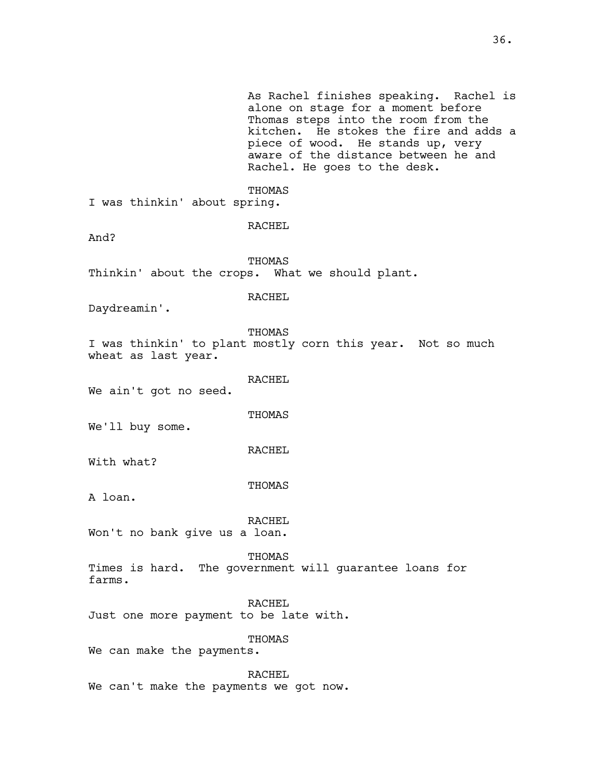As Rachel finishes speaking. Rachel is alone on stage for a moment before Thomas steps into the room from the kitchen. He stokes the fire and adds a piece of wood. He stands up, very aware of the distance between he and Rachel. He goes to the desk.

### THOMAS

I was thinkin' about spring.

And?

RACHEL

THOMAS Thinkin' about the crops. What we should plant.

RACHEL

Daydreamin'.

THOMAS

I was thinkin' to plant mostly corn this year. Not so much wheat as last year.

RACHEL

We ain't got no seed.

THOMAS

We'll buy some.

RACHEL

With what?

THOMAS

A loan.

RACHEL Won't no bank give us a loan.

THOMAS Times is hard. The government will guarantee loans for farms.

RACHEL Just one more payment to be late with.

THOMAS

We can make the payments.

RACHEL We can't make the payments we got now.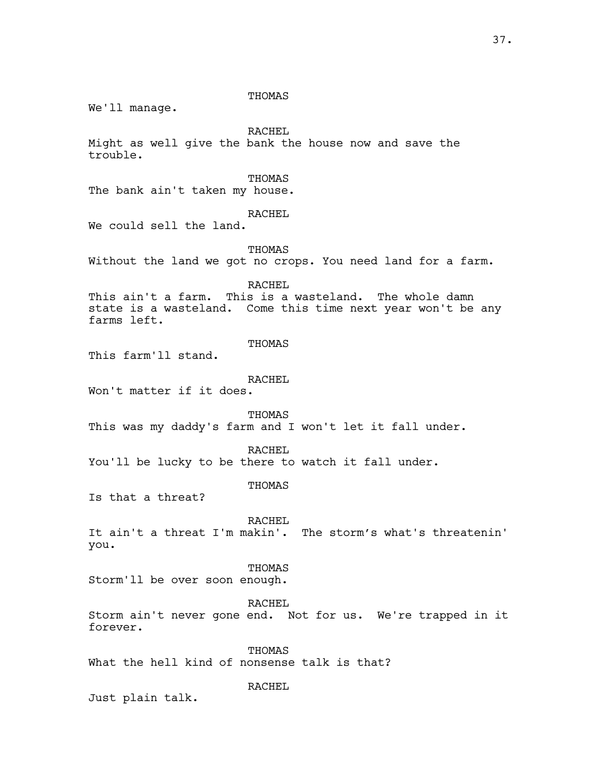THOMAS We'll manage. RACHEL Might as well give the bank the house now and save the trouble. THOMAS The bank ain't taken my house. RACHEL We could sell the land. THOMAS Without the land we got no crops. You need land for a farm. RACHEL This ain't a farm. This is a wasteland. The whole damn state is a wasteland. Come this time next year won't be any farms left. THOMAS This farm'll stand. RACHEL Won't matter if it does. THOMAS This was my daddy's farm and I won't let it fall under. RACHEL You'll be lucky to be there to watch it fall under. THOMAS Is that a threat? RACHEL It ain't a threat I'm makin'. The storm's what's threatenin' you. THOMAS Storm'll be over soon enough. RACHEL Storm ain't never gone end. Not for us. We're trapped in it forever. THOMAS What the hell kind of nonsense talk is that? RACHEL Just plain talk.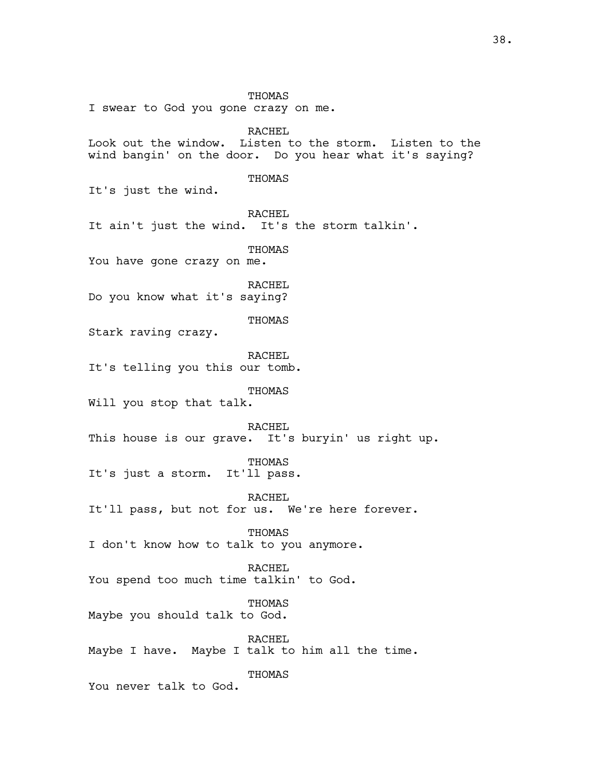THOMAS I swear to God you gone crazy on me. RACHEL Look out the window. Listen to the storm. Listen to the wind bangin' on the door. Do you hear what it's saying? THOMAS It's just the wind. RACHEL It ain't just the wind. It's the storm talkin'. THOMAS You have gone crazy on me. RACHEL Do you know what it's saying? THOMAS Stark raving crazy. RACHEL It's telling you this our tomb. THOMAS Will you stop that talk. RACHEL This house is our grave. It's buryin' us right up. THOMAS It's just a storm. It'll pass. RACHEL It'll pass, but not for us. We're here forever. **THOMAS** I don't know how to talk to you anymore. RACHEL You spend too much time talkin' to God. THOMAS Maybe you should talk to God. RACHEL Maybe I have. Maybe I talk to him all the time. THOMAS You never talk to God.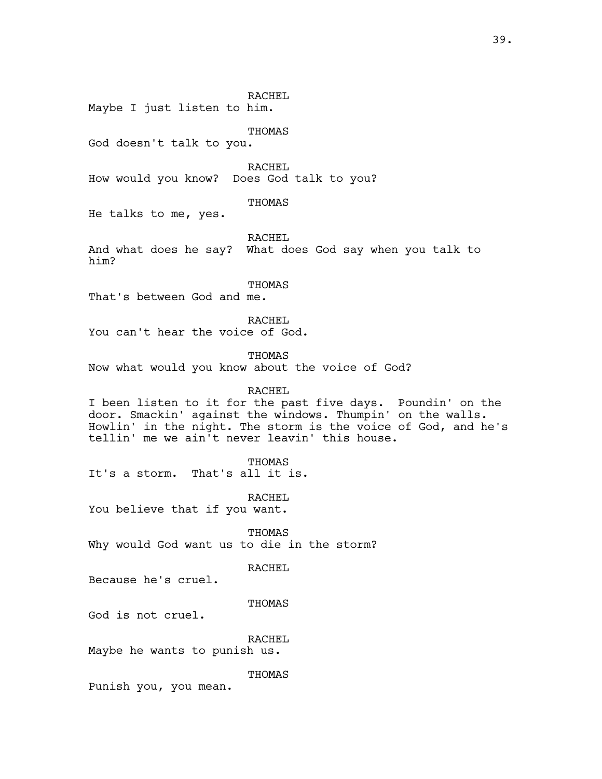RACHEL Maybe I just listen to him. THOMAS God doesn't talk to you. RACHEL How would you know? Does God talk to you? THOMAS He talks to me, yes. RACHEL And what does he say? What does God say when you talk to him? **THOMAS** That's between God and me. RACHEL You can't hear the voice of God. THOMAS Now what would you know about the voice of God? RACHEL I been listen to it for the past five days. Poundin' on the door. Smackin' against the windows. Thumpin' on the walls. Howlin' in the night. The storm is the voice of God, and he's tellin' me we ain't never leavin' this house. **THOMAS** It's a storm. That's all it is. RACHEL You believe that if you want. **THOMAS** Why would God want us to die in the storm? RACHEL Because he's cruel. THOMAS God is not cruel. RACHEL Maybe he wants to punish us. THOMAS Punish you, you mean.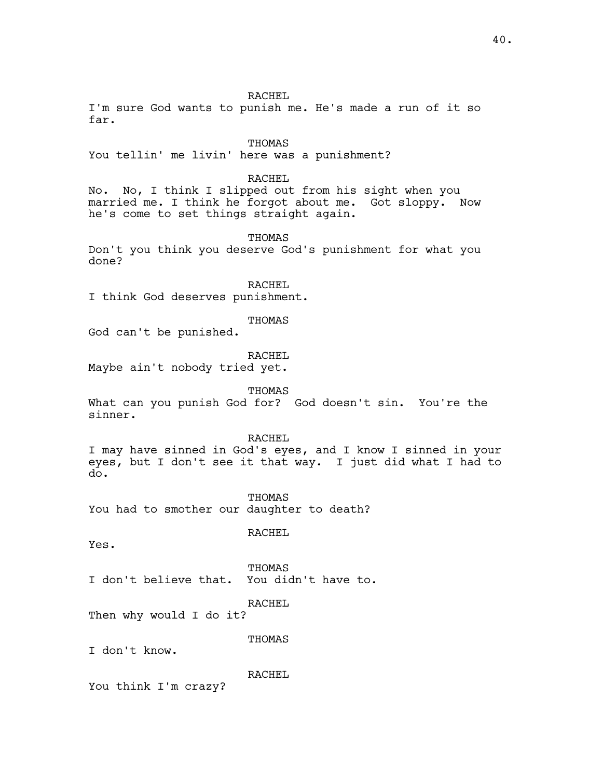40.

## RACHEL

I'm sure God wants to punish me. He's made a run of it so far.

### THOMAS

You tellin' me livin' here was a punishment?

### RACHEL

No. No, I think I slipped out from his sight when you married me. I think he forgot about me. Got sloppy. Now he's come to set things straight again.

# THOMAS

Don't you think you deserve God's punishment for what you done?

RACHEL

I think God deserves punishment.

# THOMAS

God can't be punished.

### RACHEL

Maybe ain't nobody tried yet.

THOMAS

What can you punish God for? God doesn't sin. You're the sinner.

RACHEL

I may have sinned in God's eyes, and I know I sinned in your eyes, but I don't see it that way. I just did what I had to do.

THOMAS You had to smother our daughter to death?

RACHEL

Yes.

THOMAS I don't believe that. You didn't have to.

RACHEL

Then why would I do it?

THOMAS

I don't know.

RACHEL

You think I'm crazy?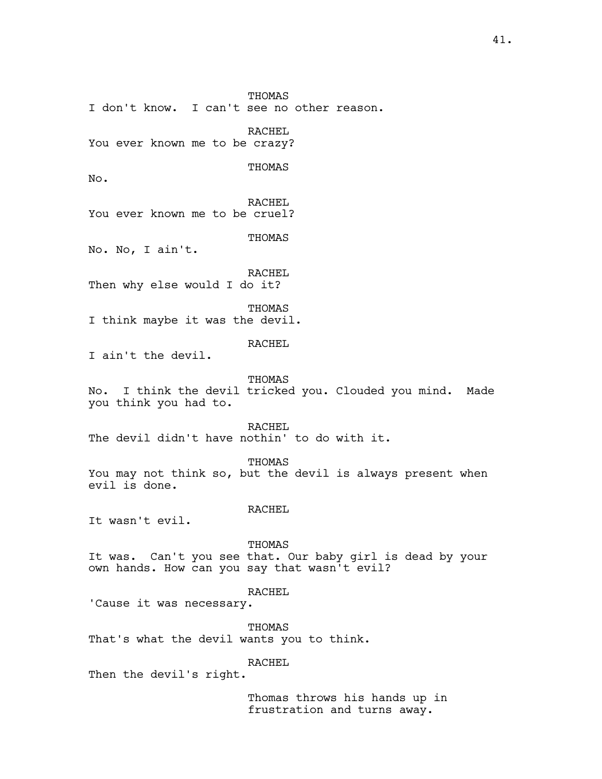THOMAS I don't know. I can't see no other reason. RACHEL You ever known me to be crazy? THOMAS No. RACHEL You ever known me to be cruel? THOMAS No. No, I ain't. RACHEL Then why else would I do it? THOMAS I think maybe it was the devil. RACHEL I ain't the devil. THOMAS No. I think the devil tricked you. Clouded you mind. Made you think you had to. RACHEL The devil didn't have nothin' to do with it. THOMAS You may not think so, but the devil is always present when evil is done. RACHEL It wasn't evil. THOMAS It was. Can't you see that. Our baby girl is dead by your own hands. How can you say that wasn't evil? RACHEL 'Cause it was necessary. THOMAS That's what the devil wants you to think. RACHEL Then the devil's right.

> Thomas throws his hands up in frustration and turns away.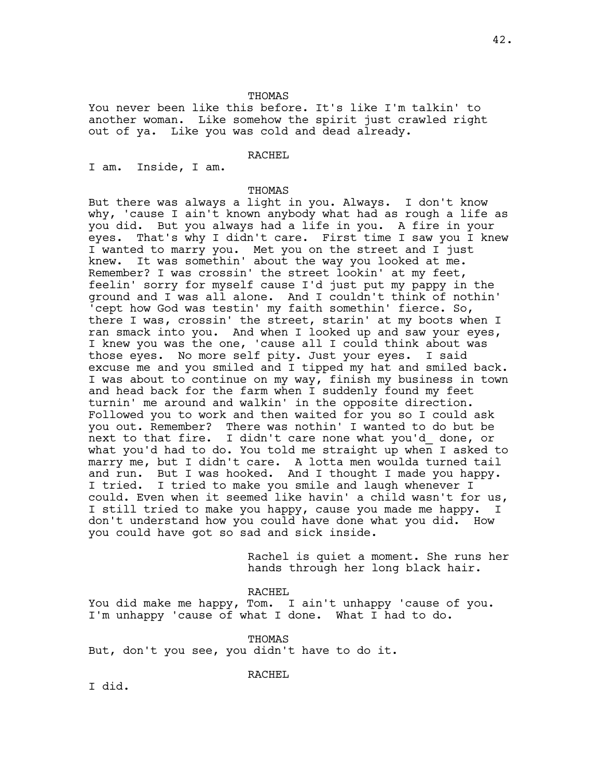**THOMAS** 

You never been like this before. It's like I'm talkin' to another woman. Like somehow the spirit just crawled right out of ya. Like you was cold and dead already.

RACHEL

I am. Inside, I am.

# THOMAS

But there was always a light in you. Always. I don't know why, 'cause I ain't known anybody what had as rough a life as you did. But you always had a life in you. A fire in your eyes. That's why I didn't care. First time I saw you I knew I wanted to marry you. Met you on the street and I just knew. It was somethin' about the way you looked at me. Remember? I was crossin' the street lookin' at my feet, feelin' sorry for myself cause I'd just put my pappy in the ground and I was all alone. And I couldn't think of nothin' 'cept how God was testin' my faith somethin' fierce. So, there I was, crossin' the street, starin' at my boots when I ran smack into you. And when I looked up and saw your eyes, I knew you was the one, 'cause all I could think about was those eyes. No more self pity. Just your eyes. I said excuse me and you smiled and I tipped my hat and smiled back. I was about to continue on my way, finish my business in town and head back for the farm when I suddenly found my feet turnin' me around and walkin' in the opposite direction. Followed you to work and then waited for you so I could ask you out. Remember? There was nothin' I wanted to do but be next to that fire. I didn't care none what you'd\_ done, or what you'd had to do. You told me straight up when I asked to marry me, but I didn't care. A lotta men woulda turned tail and run. But I was hooked. And I thought I made you happy. I tried. I tried to make you smile and laugh whenever I could. Even when it seemed like havin' a child wasn't for us, I still tried to make you happy, cause you made me happy. I don't understand how you could have done what you did. How you could have got so sad and sick inside.

> Rachel is quiet a moment. She runs her hands through her long black hair.

RACHEL

You did make me happy, Tom. I ain't unhappy 'cause of you. I'm unhappy 'cause of what I done. What I had to do.

THOMAS But, don't you see, you didn't have to do it.

RACHEL

I did.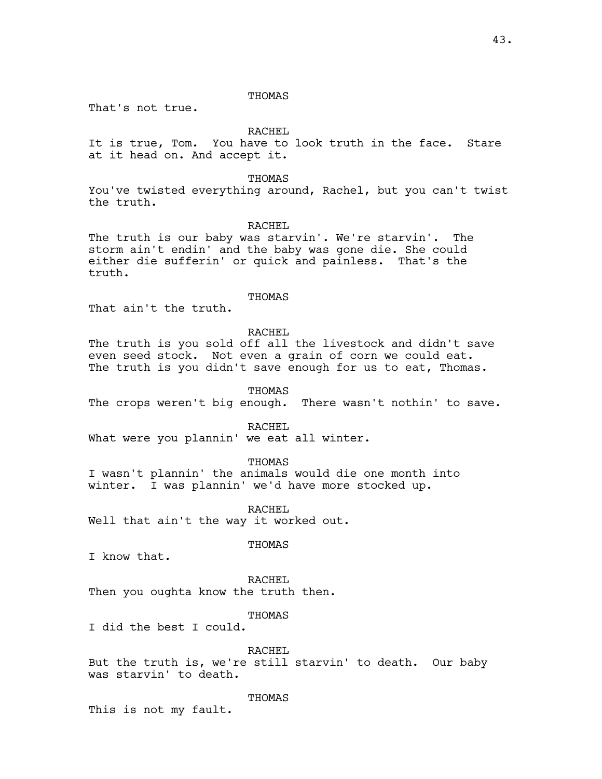### THOMAS

That's not true.

RACHEL

It is true, Tom. You have to look truth in the face. Stare at it head on. And accept it.

THOMAS

You've twisted everything around, Rachel, but you can't twist the truth.

RACHEL

The truth is our baby was starvin'. We're starvin'. The storm ain't endin' and the baby was gone die. She could either die sufferin' or quick and painless. That's the truth.

### **THOMAS**

That ain't the truth.

RACHEL

The truth is you sold off all the livestock and didn't save even seed stock. Not even a grain of corn we could eat. The truth is you didn't save enough for us to eat, Thomas.

THOMAS

The crops weren't big enough. There wasn't nothin' to save.

RACHEL

What were you plannin' we eat all winter.

**THOMAS** 

I wasn't plannin' the animals would die one month into winter. I was plannin' we'd have more stocked up.

RACHEL Well that ain't the way it worked out.

THOMAS

I know that.

RACHEL Then you oughta know the truth then.

THOMAS

I did the best I could.

RACHEL

But the truth is, we're still starvin' to death. Our baby was starvin' to death.

THOMAS

This is not my fault.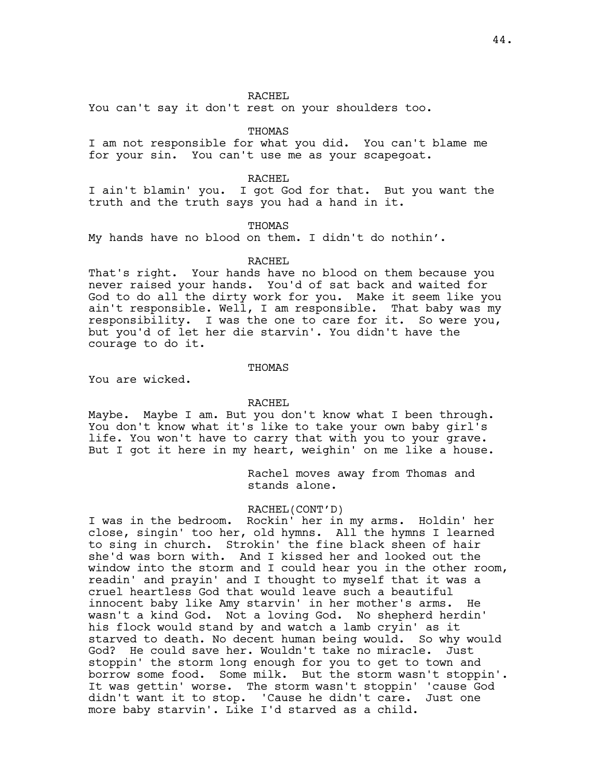You can't say it don't rest on your shoulders too.

THOMAS

I am not responsible for what you did. You can't blame me for your sin. You can't use me as your scapegoat.

RACHEL

I ain't blamin' you. I got God for that. But you want the truth and the truth says you had a hand in it.

### THOMAS

My hands have no blood on them. I didn't do nothin'.

#### RACHEL

That's right. Your hands have no blood on them because you never raised your hands. You'd of sat back and waited for God to do all the dirty work for you. Make it seem like you ain't responsible. Well, I am responsible. That baby was my responsibility. I was the one to care for it. So were you, but you'd of let her die starvin'. You didn't have the courage to do it.

### THOMAS

You are wicked.

## RACHEL

Maybe. Maybe I am. But you don't know what I been through. You don't know what it's like to take your own baby girl's life. You won't have to carry that with you to your grave. But I got it here in my heart, weighin' on me like a house.

> Rachel moves away from Thomas and stands alone.

### RACHEL(CONT'D)

I was in the bedroom. Rockin' her in my arms. Holdin' her close, singin' too her, old hymns. All the hymns I learned to sing in church. Strokin' the fine black sheen of hair she'd was born with. And I kissed her and looked out the window into the storm and I could hear you in the other room, readin' and prayin' and I thought to myself that it was a cruel heartless God that would leave such a beautiful innocent baby like Amy starvin' in her mother's arms. He wasn't a kind God. Not a loving God. No shepherd herdin' his flock would stand by and watch a lamb cryin' as it starved to death. No decent human being would. So why would God? He could save her. Wouldn't take no miracle. Just stoppin' the storm long enough for you to get to town and borrow some food. Some milk. But the storm wasn't stoppin'. It was gettin' worse. The storm wasn't stoppin' 'cause God didn't want it to stop. 'Cause he didn't care. Just one more baby starvin'. Like I'd starved as a child.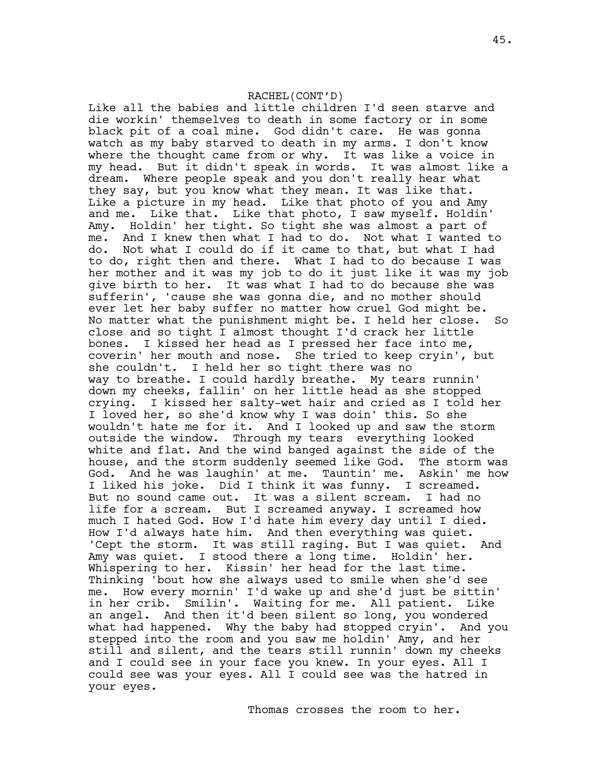# RACHEL(CONT'D)

Like all the babies and little children I'd seen starve and die workin' themselves to death in some factory or in some black pit of a coal mine. God didn't care. He was gonna watch as my baby starved to death in my arms. I don't know where the thought came from or why. It was like a voice in my head. But it didn't speak in words. It was almost like a dream. Where people speak and you don't really hear what they say, but you know what they mean. It was like that. Like a picture in my head. Like that photo of you and Amy and me. Like that. Like that photo, I saw myself. Holdin' Amy. Holdin' her tight. So tight she was almost a part of me. And I knew then what I had to do. Not what I wanted to do. Not what I could do if it came to that, but what I had to do, right then and there. What I had to do because I was her mother and it was my job to do it just like it was my job give birth to her. It was what I had to do because she was sufferin', 'cause she was gonna die, and no mother should ever let her baby suffer no matter how cruel God might be. No matter what the punishment might be. I held her close. So close and so tight I almost thought I'd crack her little bones. I kissed her head as I pressed her face into me, coverin' her mouth and nose. She tried to keep cryin', but she couldn't. I held her so tight there was no way to breathe. I could hardly breathe. My tears runnin' down my cheeks, fallin' on her little head as she stopped crying. I kissed her salty-wet hair and cried as I told her I loved her, so she'd know why I was doin' this. So she wouldn't hate me for it. And I looked up and saw the storm outside the window. Through my tears everything looked white and flat. And the wind banged against the side of the house, and the storm suddenly seemed like God. The storm was God. And he was laughin' at me. Tauntin' me. Askin' me how I liked his joke. Did I think it was funny. I screamed. But no sound came out. It was a silent scream. I had no life for a scream. But I screamed anyway. I screamed how much I hated God. How I'd hate him every day until I died. How I'd always hate him. And then everything was quiet. 'Cept the storm. It was still raging. But I was quiet. And Amy was quiet. I stood there a long time. Holdin' her. Whispering to her. Kissin' her head for the last time. Thinking 'bout how she always used to smile when she'd see me. How every mornin' I'd wake up and she'd just be sittin' in her crib. Smilin'. Waiting for me. All patient. Like an angel. And then it'd been silent so long, you wondered what had happened. Why the baby had stopped cryin'. And you stepped into the room and you saw me holdin' Amy, and her still and silent, and the tears still runnin' down my cheeks and I could see in your face you knew. In your eyes. All I could see was your eyes. All I could see was the hatred in your eyes.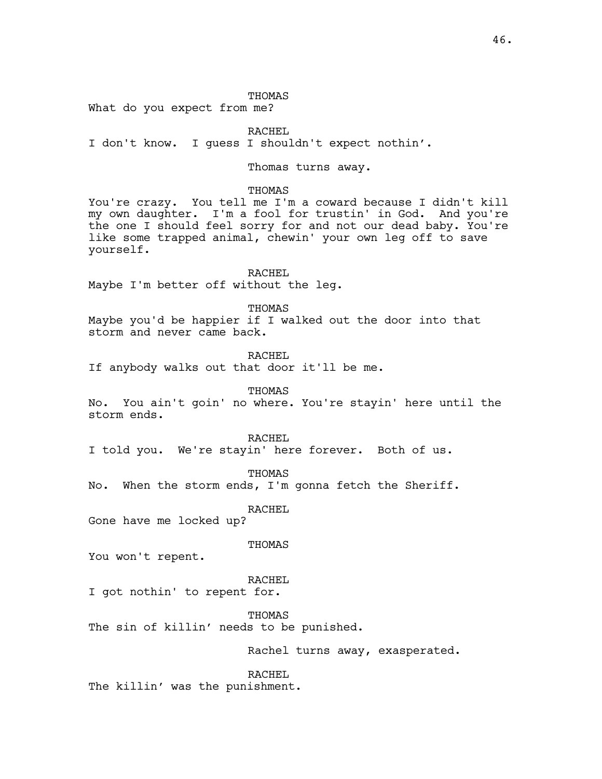What do you expect from me?

RACHEL

I don't know. I guess I shouldn't expect nothin'.

Thomas turns away.

### **THOMAS**

You're crazy. You tell me I'm a coward because I didn't kill my own daughter. I'm a fool for trustin' in God. And you're the one I should feel sorry for and not our dead baby. You're like some trapped animal, chewin' your own leg off to save yourself.

RACHEL

Maybe I'm better off without the leg.

THOMAS

Maybe you'd be happier if I walked out the door into that storm and never came back.

RACHEL

If anybody walks out that door it'll be me.

THOMAS

No. You ain't goin' no where. You're stayin' here until the storm ends.

RACHEL

I told you. We're stayin' here forever. Both of us.

THOMAS

No. When the storm ends, I'm gonna fetch the Sheriff.

RACHEL

Gone have me locked up?

#### THOMAS

You won't repent.

RACHEL

I got nothin' to repent for.

THOMAS

The sin of killin' needs to be punished.

Rachel turns away, exasperated.

#### RACHEL

The killin' was the punishment.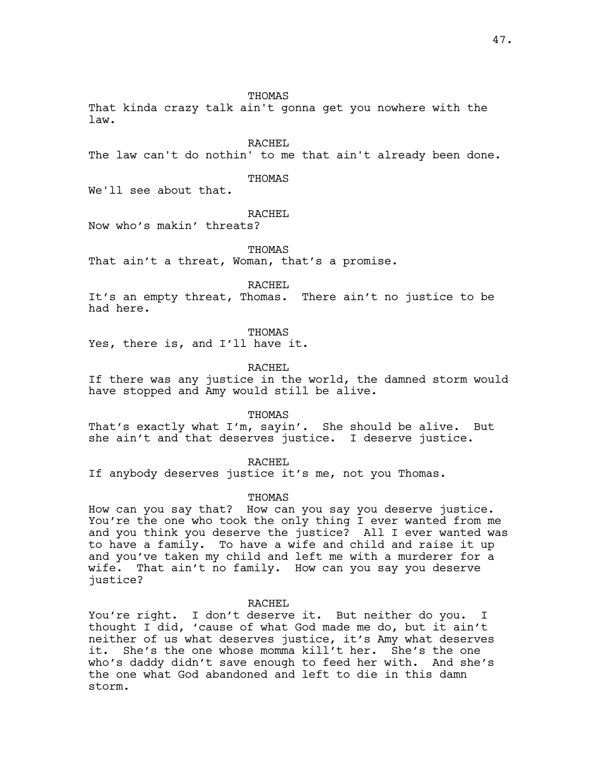**THOMAS** That kinda crazy talk ain't gonna get you nowhere with the law.

RACHEL

The law can't do nothin' to me that ain't already been done.

THOMAS

We'll see about that.

# RACHEL

Now who's makin' threats?

THOMAS

That ain't a threat, Woman, that's a promise.

RACHEL

It's an empty threat, Thomas. There ain't no justice to be had here.

THOMAS

Yes, there is, and I'll have it.

RACHEL

If there was any justice in the world, the damned storm would have stopped and Amy would still be alive.

THOMAS

That's exactly what I'm, sayin'. She should be alive. But she ain't and that deserves justice. I deserve justice.

RACHEL

If anybody deserves justice it's me, not you Thomas.

THOMAS

How can you say that? How can you say you deserve justice. You're the one who took the only thing I ever wanted from me and you think you deserve the justice? All I ever wanted was to have a family. To have a wife and child and raise it up and you've taken my child and left me with a murderer for a wife. That ain't no family. How can you say you deserve justice?

RACHEL

You're right. I don't deserve it. But neither do you. I thought I did, 'cause of what God made me do, but it ain't neither of us what deserves justice, it's Amy what deserves it. She's the one whose momma kill't her. She's the one who's daddy didn't save enough to feed her with. And she's the one what God abandoned and left to die in this damn storm.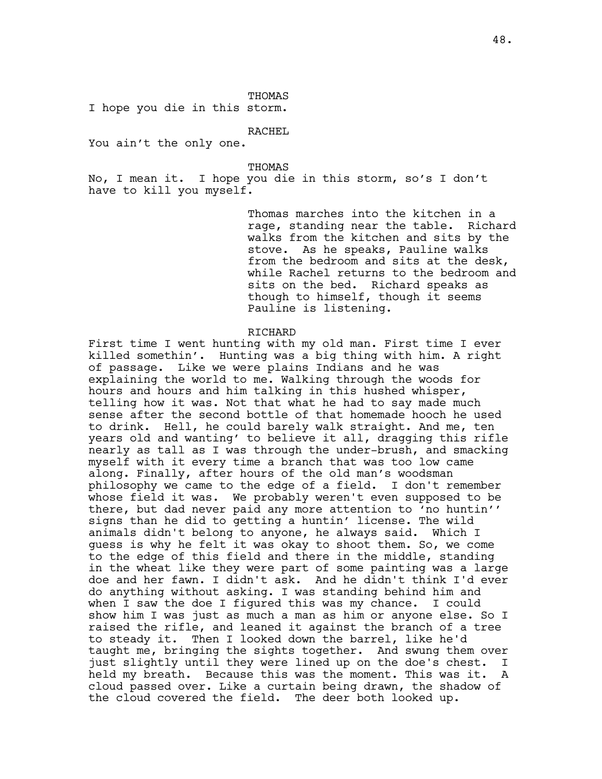THOMAS

I hope you die in this storm.

RACHEL

You ain't the only one.

THOMAS

No, I mean it. I hope you die in this storm, so's I don't have to kill you myself.

> Thomas marches into the kitchen in a rage, standing near the table. Richard walks from the kitchen and sits by the stove. As he speaks, Pauline walks from the bedroom and sits at the desk, while Rachel returns to the bedroom and sits on the bed. Richard speaks as though to himself, though it seems Pauline is listening.

### RICHARD

First time I went hunting with my old man. First time I ever killed somethin'. Hunting was a big thing with him. A right of passage. Like we were plains Indians and he was explaining the world to me. Walking through the woods for hours and hours and him talking in this hushed whisper, telling how it was. Not that what he had to say made much sense after the second bottle of that homemade hooch he used to drink. Hell, he could barely walk straight. And me, ten years old and wanting' to believe it all, dragging this rifle nearly as tall as I was through the under-brush, and smacking myself with it every time a branch that was too low came along. Finally, after hours of the old man's woodsman philosophy we came to the edge of a field. I don't remember whose field it was. We probably weren't even supposed to be there, but dad never paid any more attention to 'no huntin'' signs than he did to getting a huntin' license. The wild animals didn't belong to anyone, he always said. Which I guess is why he felt it was okay to shoot them. So, we come to the edge of this field and there in the middle, standing in the wheat like they were part of some painting was a large doe and her fawn. I didn't ask. And he didn't think I'd ever do anything without asking. I was standing behind him and when I saw the doe I figured this was my chance. I could show him I was just as much a man as him or anyone else. So I raised the rifle, and leaned it against the branch of a tree to steady it. Then I looked down the barrel, like he'd taught me, bringing the sights together. And swung them over just slightly until they were lined up on the doe's chest. I held my breath. Because this was the moment. This was it. A cloud passed over. Like a curtain being drawn, the shadow of the cloud covered the field. The deer both looked up.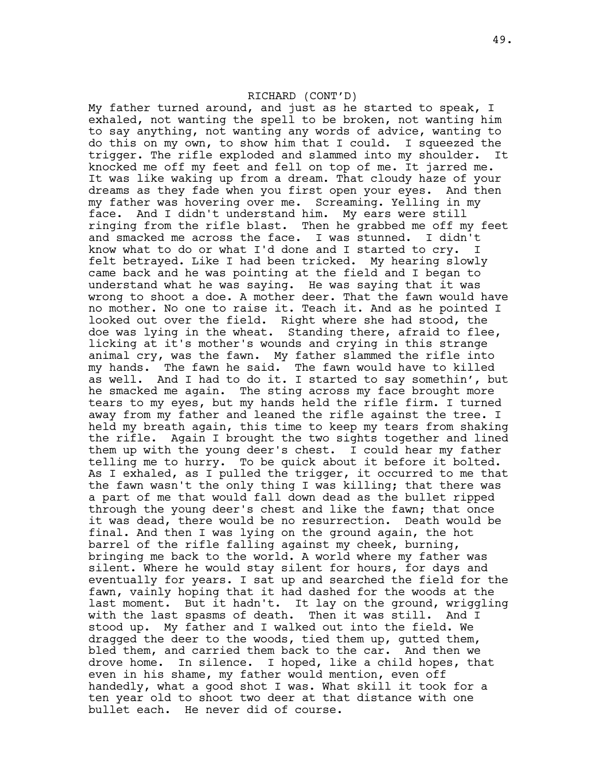# RICHARD (CONT'D)

My father turned around, and just as he started to speak, I exhaled, not wanting the spell to be broken, not wanting him to say anything, not wanting any words of advice, wanting to do this on my own, to show him that I could. I squeezed the trigger. The rifle exploded and slammed into my shoulder. It knocked me off my feet and fell on top of me. It jarred me. It was like waking up from a dream. That cloudy haze of your dreams as they fade when you first open your eyes. And then my father was hovering over me. Screaming. Yelling in my face. And I didn't understand him. My ears were still ringing from the rifle blast. Then he grabbed me off my feet and smacked me across the face. I was stunned. I didn't know what to do or what I'd done and I started to cry. I felt betrayed. Like I had been tricked. My hearing slowly came back and he was pointing at the field and I began to understand what he was saying. He was saying that it was wrong to shoot a doe. A mother deer. That the fawn would have no mother. No one to raise it. Teach it. And as he pointed I looked out over the field. Right where she had stood, the doe was lying in the wheat. Standing there, afraid to flee, licking at it's mother's wounds and crying in this strange animal cry, was the fawn. My father slammed the rifle into my hands. The fawn he said. The fawn would have to killed as well. And I had to do it. I started to say somethin', but he smacked me again. The sting across my face brought more tears to my eyes, but my hands held the rifle firm. I turned away from my father and leaned the rifle against the tree. I held my breath again, this time to keep my tears from shaking the rifle. Again I brought the two sights together and lined them up with the young deer's chest. I could hear my father telling me to hurry. To be quick about it before it bolted. As I exhaled, as I pulled the trigger, it occurred to me that the fawn wasn't the only thing I was killing; that there was a part of me that would fall down dead as the bullet ripped through the young deer's chest and like the fawn; that once it was dead, there would be no resurrection. Death would be final. And then I was lying on the ground again, the hot barrel of the rifle falling against my cheek, burning, bringing me back to the world. A world where my father was silent. Where he would stay silent for hours, for days and eventually for years. I sat up and searched the field for the fawn, vainly hoping that it had dashed for the woods at the last moment. But it hadn't. It lay on the ground, wriggling with the last spasms of death. Then it was still. And I stood up. My father and I walked out into the field. We dragged the deer to the woods, tied them up, gutted them, bled them, and carried them back to the car. And then we drove home. In silence. I hoped, like a child hopes, that even in his shame, my father would mention, even off handedly, what a good shot I was. What skill it took for a ten year old to shoot two deer at that distance with one bullet each. He never did of course.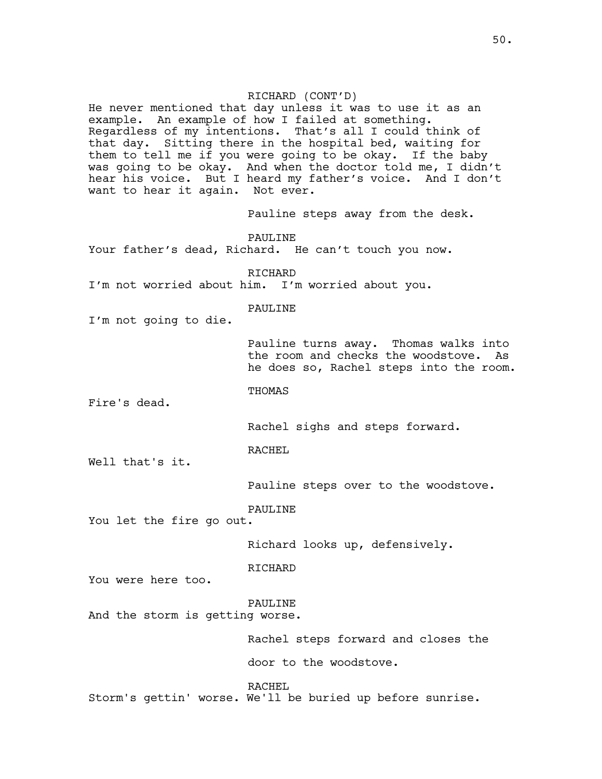He never mentioned that day unless it was to use it as an example. An example of how I failed at something. Regardless of my intentions. That's all I could think of that day. Sitting there in the hospital bed, waiting for them to tell me if you were going to be okay. If the baby was going to be okay. And when the doctor told me, I didn't hear his voice. But I heard my father's voice. And I don't want to hear it again. Not ever.

Pauline steps away from the desk.

PAULINE

Your father's dead, Richard. He can't touch you now.

**RICHARD** 

I'm not worried about him. I'm worried about you.

PAULINE

I'm not going to die.

Pauline turns away. Thomas walks into the room and checks the woodstove. As he does so, Rachel steps into the room.

THOMAS

Fire's dead.

Rachel sighs and steps forward.

RACHEL

Well that's it.

Pauline steps over to the woodstove.

PAULINE

You let the fire go out.

Richard looks up, defensively.

RICHARD

You were here too.

PAULINE

And the storm is getting worse.

Rachel steps forward and closes the

door to the woodstove.

RACHEL Storm's gettin' worse. We'll be buried up before sunrise.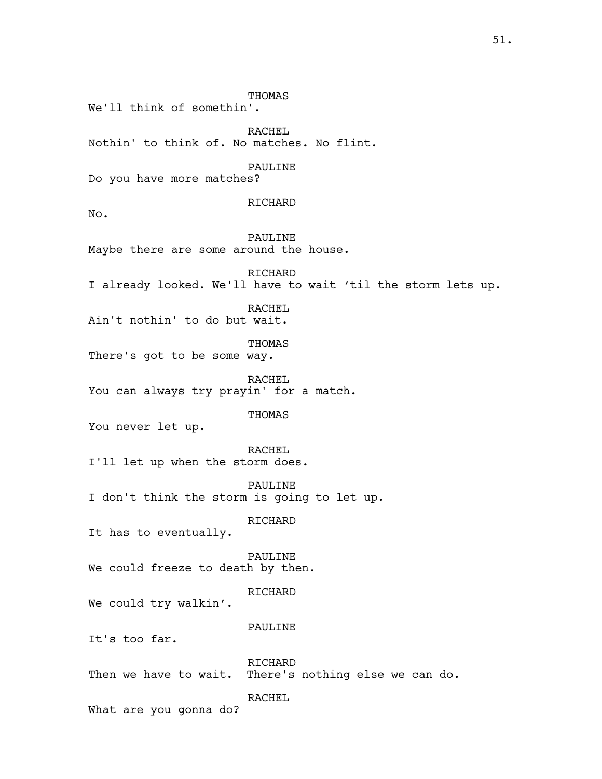THOMAS We'll think of somethin'. RACHEL Nothin' to think of. No matches. No flint. PAULINE Do you have more matches? RICHARD No. PAULINE Maybe there are some around the house. **RICHARD** I already looked. We'll have to wait 'til the storm lets up. RACHEL Ain't nothin' to do but wait. THOMAS There's got to be some way. RACHEL You can always try prayin' for a match. THOMAS You never let up. RACHEL I'll let up when the storm does. PAULINE I don't think the storm is going to let up. RICHARD It has to eventually. PAULINE We could freeze to death by then. RICHARD We could try walkin'. PAULINE It's too far. RICHARD Then we have to wait. There's nothing else we can do. RACHEL What are you gonna do?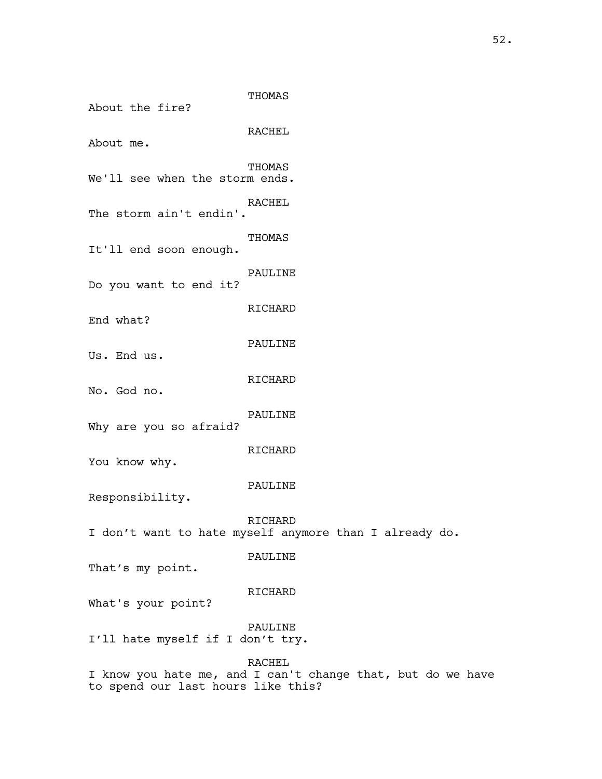THOMAS About the fire? RACHEL About me. THOMAS We'll see when the storm ends. RACHEL The storm ain't endin'. THOMAS It'll end soon enough. PAULINE Do you want to end it? RICHARD End what? PAULINE Us. End us. RICHARD No. God no. PAULINE Why are you so afraid? RICHARD You know why. PAULINE Responsibility. RICHARD I don't want to hate myself anymore than I already do. PAULINE That's my point. RICHARD What's your point? PAULINE I'll hate myself if I don't try. RACHEL I know you hate me, and I can't change that, but do we have

to spend our last hours like this?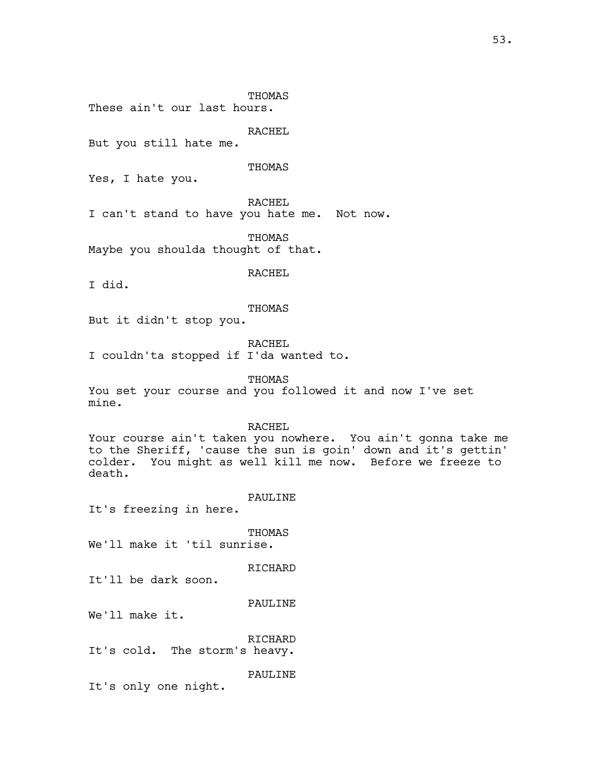THOMAS

These ain't our last hours.

RACHEL

But you still hate me.

# THOMAS

Yes, I hate you.

RACHEL

I can't stand to have you hate me. Not now.

THOMAS

Maybe you shoulda thought of that.

RACHEL

I did.

THOMAS

But it didn't stop you.

RACHEL I couldn'ta stopped if I'da wanted to.

THOMAS

You set your course and you followed it and now I've set mine.

RACHEL

Your course ain't taken you nowhere. You ain't gonna take me to the Sheriff, 'cause the sun is goin' down and it's gettin' colder. You might as well kill me now. Before we freeze to death.

PAULINE

It's freezing in here.

THOMAS We'll make it 'til sunrise.

RICHARD

It'll be dark soon.

PAULINE

We'll make it.

RICHARD It's cold. The storm's heavy.

PAULINE

It's only one night.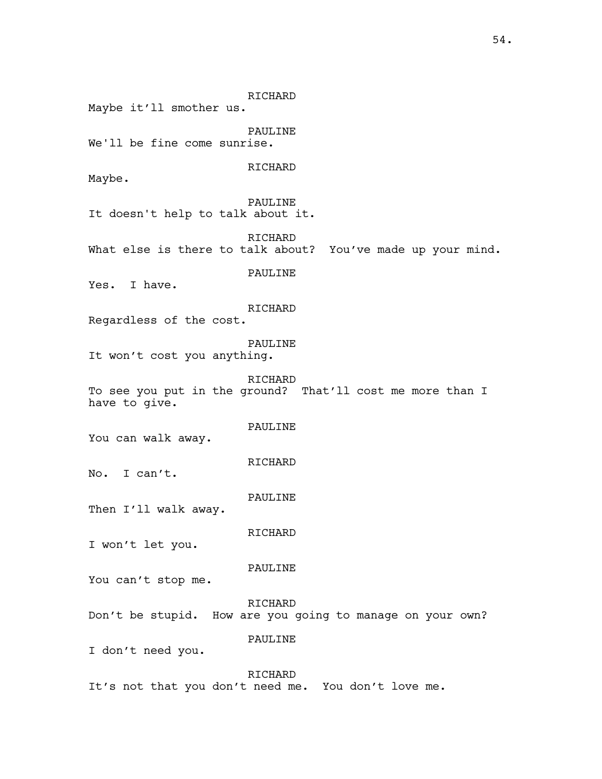RICHARD Maybe it'll smother us. PAULINE We'll be fine come sunrise. RICHARD Maybe. PAULINE It doesn't help to talk about it. RICHARD What else is there to talk about? You've made up your mind. PAULINE Yes. I have. RICHARD Regardless of the cost. PAULINE It won't cost you anything. RICHARD To see you put in the ground? That'll cost me more than I have to give. PAULINE You can walk away. RICHARD No. I can't. PAULINE Then I'll walk away. RICHARD I won't let you. PAULINE You can't stop me. RICHARD Don't be stupid. How are you going to manage on your own? PAULINE I don't need you. RICHARD It's not that you don't need me. You don't love me.

54.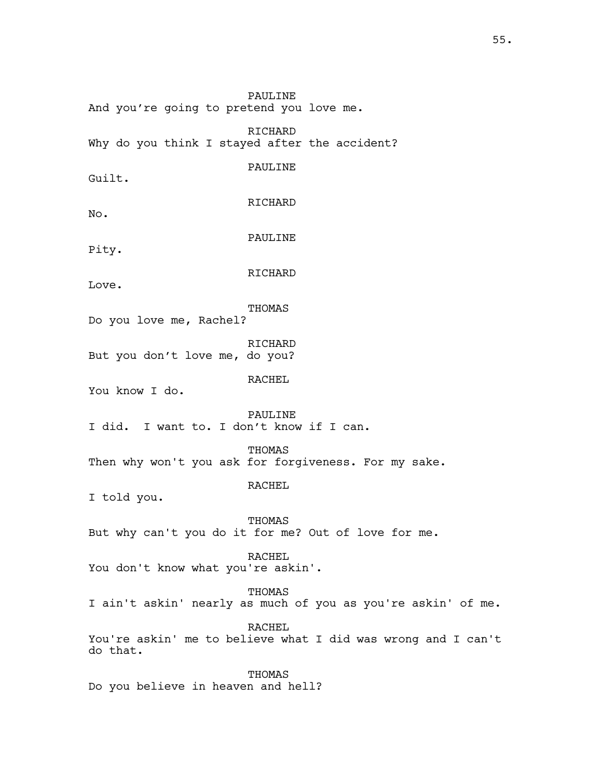PAULINE And you're going to pretend you love me. RICHARD Why do you think I stayed after the accident? PAULINE Guilt. RICHARD No. PAULINE Pity. RICHARD Love. THOMAS Do you love me, Rachel? RICHARD But you don't love me, do you? RACHEL You know I do. PAULINE I did. I want to. I don't know if I can. THOMAS Then why won't you ask for forgiveness. For my sake. RACHEL I told you. THOMAS But why can't you do it for me? Out of love for me. RACHEL You don't know what you're askin'. THOMAS I ain't askin' nearly as much of you as you're askin' of me. RACHEL You're askin' me to believe what I did was wrong and I can't do that. THOMAS Do you believe in heaven and hell?

55.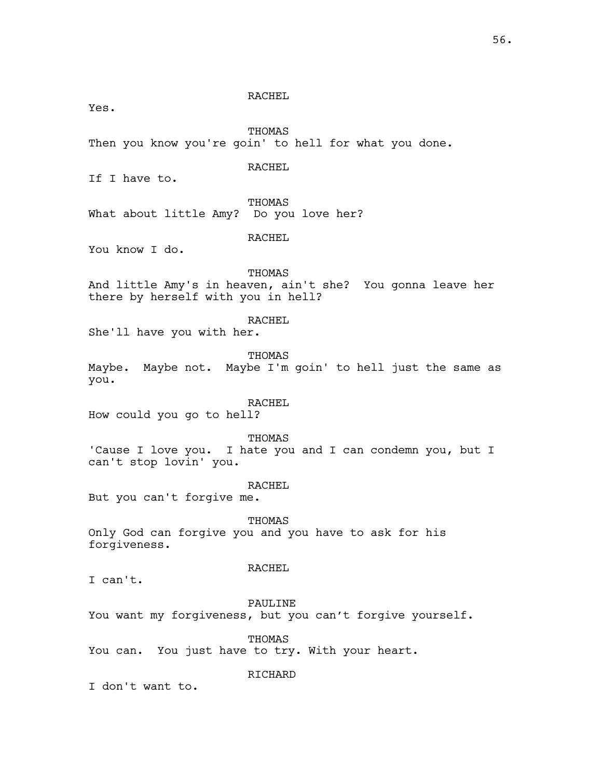RACHEL

Yes.

THOMAS

Then you know you're goin' to hell for what you done.

RACHEL

If I have to.

THOMAS

What about little Amy? Do you love her?

RACHEL

You know I do.

**THOMAS** 

And little Amy's in heaven, ain't she? You gonna leave her there by herself with you in hell?

RACHEL

She'll have you with her.

THOMAS

Maybe. Maybe not. Maybe I'm goin' to hell just the same as you.

RACHEL

How could you go to hell?

THOMAS

'Cause I love you. I hate you and I can condemn you, but I can't stop lovin' you.

RACHEL

But you can't forgive me.

THOMAS

Only God can forgive you and you have to ask for his forgiveness.

RACHEL

I can't.

PAULINE

You want my forgiveness, but you can't forgive yourself.

THOMAS

You can. You just have to try. With your heart.

RICHARD

I don't want to.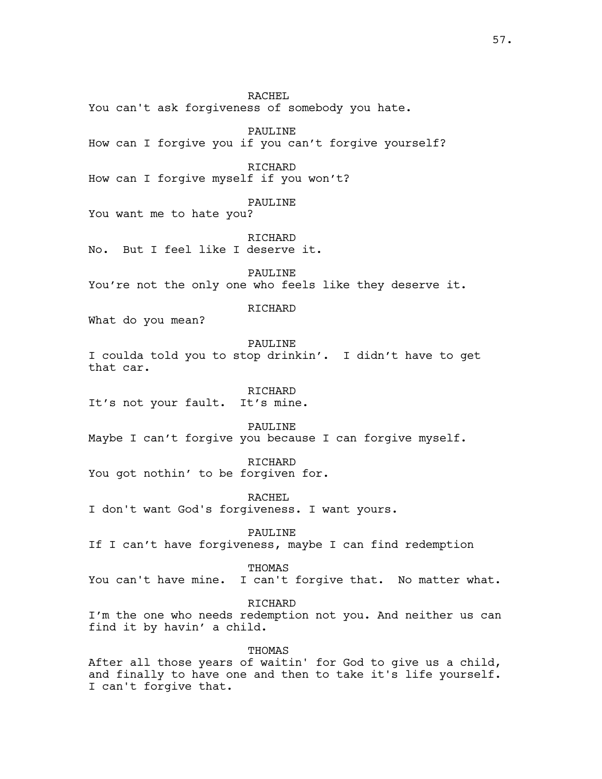RACHEL You can't ask forgiveness of somebody you hate. PAULINE How can I forgive you if you can't forgive yourself? RICHARD How can I forgive myself if you won't? PAULINE You want me to hate you? RICHARD No. But I feel like I deserve it. PAULTNE You're not the only one who feels like they deserve it. RICHARD What do you mean? PAULINE I coulda told you to stop drinkin'. I didn't have to get that car. RICHARD It's not your fault. It's mine. PAULINE Maybe I can't forgive you because I can forgive myself. **RICHARD** You got nothin' to be forgiven for. RACHEL I don't want God's forgiveness. I want yours. PAULINE If I can't have forgiveness, maybe I can find redemption THOMAS You can't have mine. I can't forgive that. No matter what. **RICHARD** I'm the one who needs redemption not you. And neither us can find it by havin' a child. THOMAS After all those years of waitin' for God to give us a child, and finally to have one and then to take it's life yourself. I can't forgive that.

57.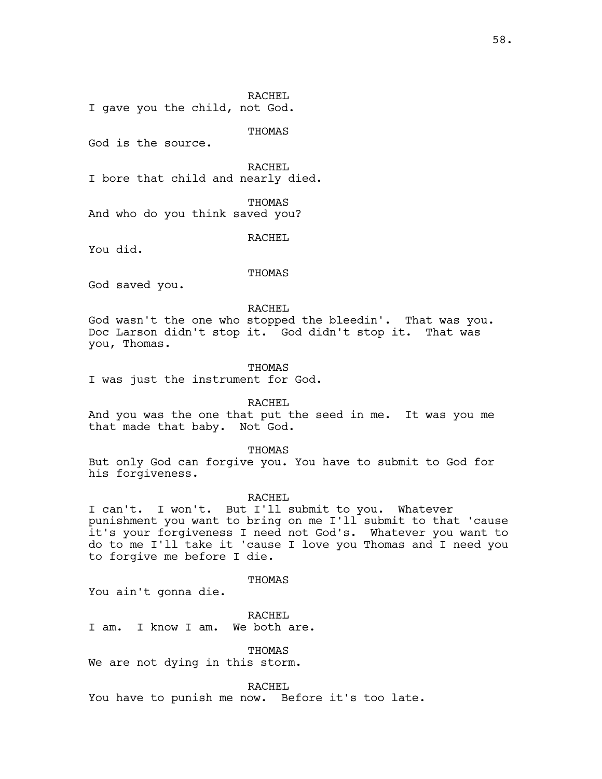RACHEL I gave you the child, not God.

THOMAS

God is the source.

RACHEL I bore that child and nearly died.

THOMAS And who do you think saved you?

RACHEL

You did.

**THOMAS** 

God saved you.

RACHEL God wasn't the one who stopped the bleedin'. That was you. Doc Larson didn't stop it. God didn't stop it. That was you, Thomas.

THOMAS

I was just the instrument for God.

RACHEL

And you was the one that put the seed in me. It was you me that made that baby. Not God.

THOMAS

But only God can forgive you. You have to submit to God for his forgiveness.

RACHEL

I can't. I won't. But I'll submit to you. Whatever punishment you want to bring on me I'll submit to that 'cause it's your forgiveness I need not God's. Whatever you want to do to me I'll take it 'cause I love you Thomas and I need you to forgive me before I die.

THOMAS

You ain't gonna die.

RACHEL I am. I know I am. We both are.

THOMAS We are not dying in this storm.

RACHEL

You have to punish me now. Before it's too late.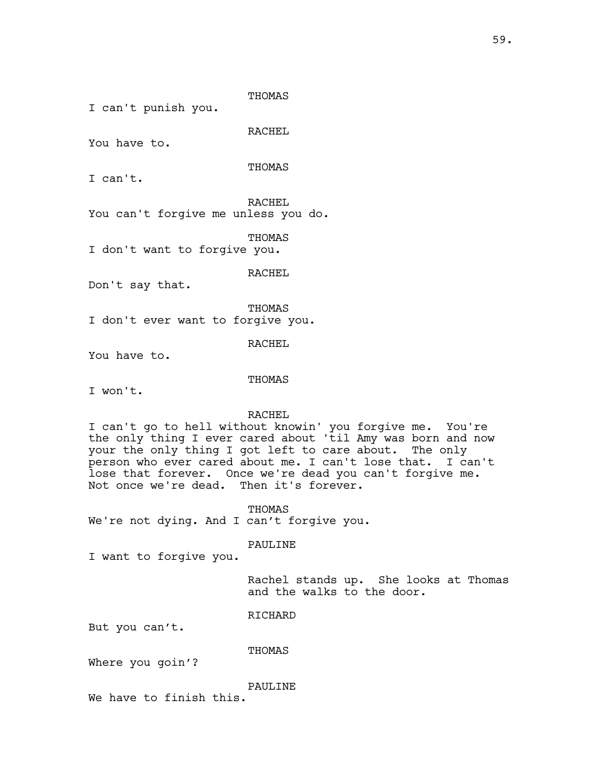RACHEL

You have to.

THOMAS

I can't.

RACHEL You can't forgive me unless you do.

THOMAS

I don't want to forgive you.

RACHEL

Don't say that.

THOMAS I don't ever want to forgive you.

RACHEL

You have to.

THOMAS

I won't.

RACHEL

I can't go to hell without knowin' you forgive me. You're the only thing I ever cared about 'til Amy was born and now your the only thing I got left to care about. The only person who ever cared about me. I can't lose that. I can't lose that forever. Once we're dead you can't forgive me. Not once we're dead. Then it's forever.

THOMAS

We're not dying. And I can't forgive you.

PAULINE

I want to forgive you.

Rachel stands up. She looks at Thomas and the walks to the door.

# RICHARD

But you can't.

THOMAS

Where you goin'?

PAULINE

We have to finish this.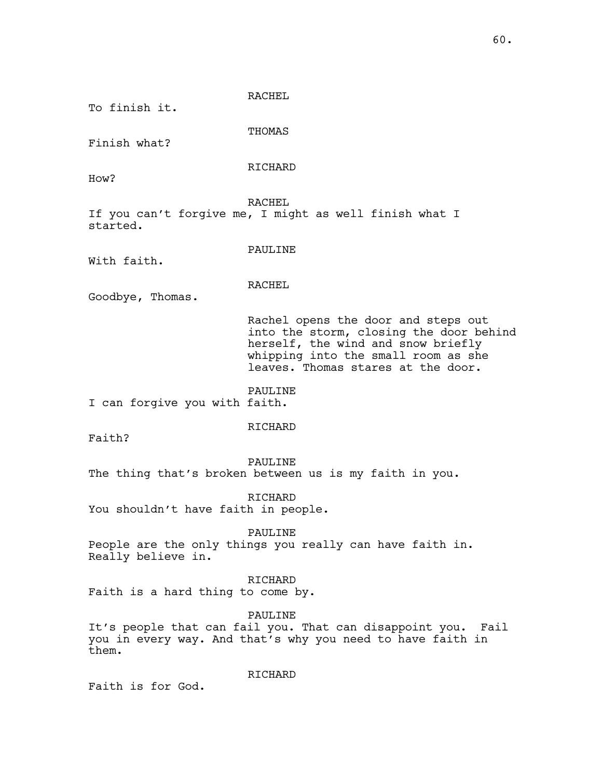RACHEL To finish it. THOMAS Finish what? RICHARD How? RACHEL If you can't forgive me, I might as well finish what I started. PAULINE With faith. RACHEL Goodbye, Thomas. Rachel opens the door and steps out into the storm, closing the door behind herself, the wind and snow briefly whipping into the small room as she leaves. Thomas stares at the door. PAULINE I can forgive you with faith. RICHARD Faith? PAULINE The thing that's broken between us is my faith in you. RICHARD You shouldn't have faith in people. PAULINE People are the only things you really can have faith in. Really believe in. RICHARD Faith is a hard thing to come by. PAULINE It's people that can fail you. That can disappoint you. Fail you in every way. And that's why you need to have faith in them. RICHARD

Faith is for God.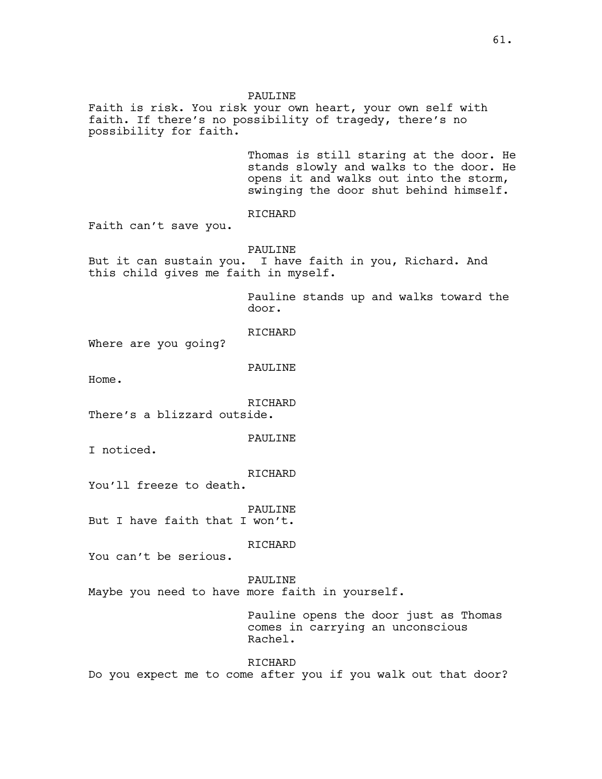PAULINE Faith is risk. You risk your own heart, your own self with faith. If there's no possibility of tragedy, there's no possibility for faith. Thomas is still staring at the door. He stands slowly and walks to the door. He opens it and walks out into the storm, swinging the door shut behind himself. RICHARD Faith can't save you. PAULINE But it can sustain you. I have faith in you, Richard. And this child gives me faith in myself. Pauline stands up and walks toward the door. RICHARD Where are you going? PAULINE Home. **RICHARD** There's a blizzard outside. PAULINE I noticed. RICHARD You'll freeze to death. PAULINE But I have faith that I won't. RICHARD You can't be serious. PAULINE Maybe you need to have more faith in yourself. Pauline opens the door just as Thomas comes in carrying an unconscious Rachel. RICHARD

Do you expect me to come after you if you walk out that door?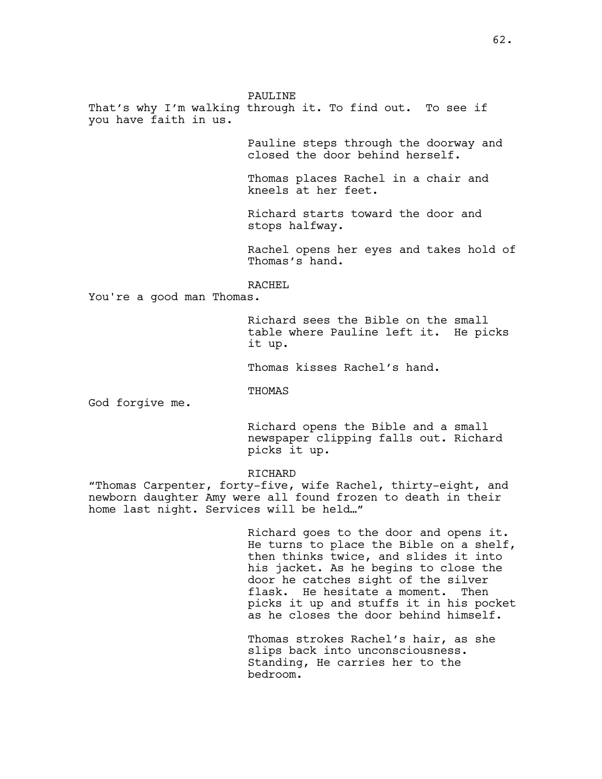PAULINE That's why I'm walking through it. To find out. To see if you have faith in us.

> Pauline steps through the doorway and closed the door behind herself.

Thomas places Rachel in a chair and kneels at her feet.

Richard starts toward the door and stops halfway.

Rachel opens her eyes and takes hold of Thomas's hand.

# RACHEL

You're a good man Thomas.

Richard sees the Bible on the small table where Pauline left it. He picks it up.

Thomas kisses Rachel's hand.

THOMAS

God forgive me.

Richard opens the Bible and a small newspaper clipping falls out. Richard picks it up.

## RICHARD

"Thomas Carpenter, forty-five, wife Rachel, thirty-eight, and newborn daughter Amy were all found frozen to death in their home last night. Services will be held…"

> Richard goes to the door and opens it. He turns to place the Bible on a shelf, then thinks twice, and slides it into his jacket. As he begins to close the door he catches sight of the silver flask. He hesitate a moment. Then picks it up and stuffs it in his pocket as he closes the door behind himself.

Thomas strokes Rachel's hair, as she slips back into unconsciousness. Standing, He carries her to the bedroom.